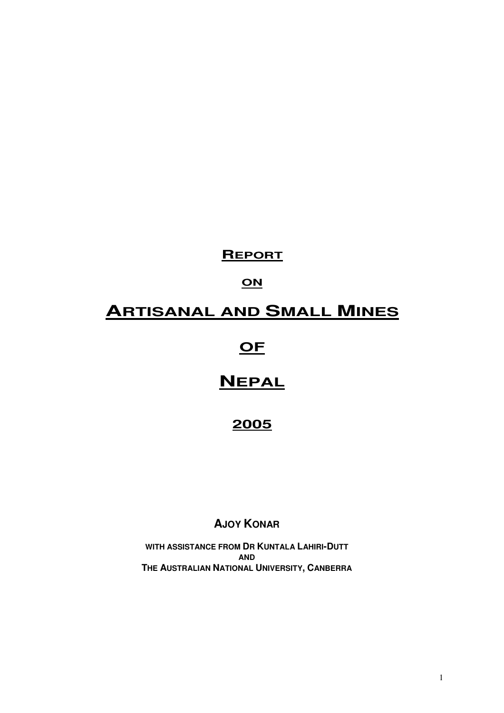# **REPORT**

# **ON**

# **ARTISANAL AND SMALL MINES**

# **OF**

# **NEPAL**

# **2005**

# **AJOY KONAR**

**WITH ASSISTANCE FROM DR KUNTALA LAHIRI-DUTT AND THE AUSTRALIAN NATIONAL UNIVERSITY, CANBERRA**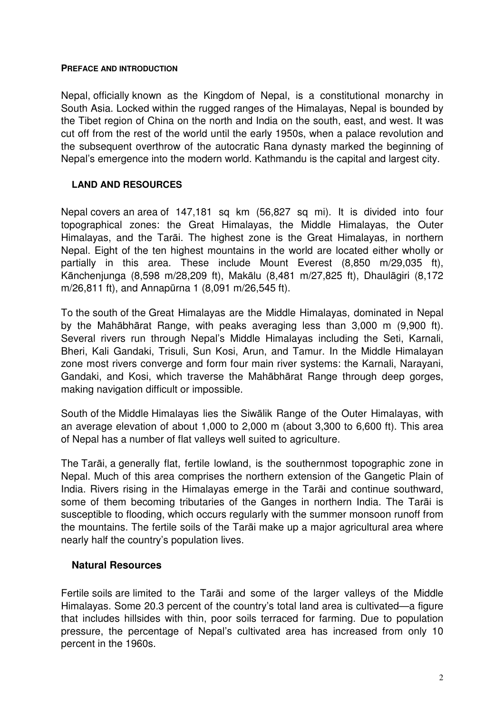#### **PREFACE AND INTRODUCTION**

Nepal, officially known as the Kingdom of Nepal, is a constitutional monarchy in South Asia. Locked within the rugged ranges of the Himalayas, Nepal is bounded by the Tibet region of China on the north and India on the south, east, and west. It was cut off from the rest of the world until the early 1950s, when a palace revolution and the subsequent overthrow of the autocratic Rana dynasty marked the beginning of Nepal's emergence into the modern world. Kathmandu is the capital and largest city.

# **LAND AND RESOURCES**

Nepal covers an area of 147,181 sq km (56,827 sq mi). It is divided into four topographical zones: the Great Himalayas, the Middle Himalayas, the Outer Himalayas, and the Tarāi. The highest zone is the Great Himalayas, in northern Nepal. Eight of the ten highest mountains in the world are located either wholly or partially in this area. These include Mount Everest (8,850 m/29,035 ft), Kānchenjunga (8,598 m/28,209 ft), Makālu (8,481 m/27,825 ft), Dhaulāgiri (8,172 m/26,811 ft), and Annapūrna 1 (8,091 m/26,545 ft).

To the south of the Great Himalayas are the Middle Himalayas, dominated in Nepal by the Mahābhārat Range, with peaks averaging less than 3,000 m (9,900 ft). Several rivers run through Nepal's Middle Himalayas including the Seti, Karnali, Bheri, Kali Gandaki, Trisuli, Sun Kosi, Arun, and Tamur. In the Middle Himalayan zone most rivers converge and form four main river systems: the Karnali, Narayani, Gandaki, and Kosi, which traverse the Mahābhārat Range through deep gorges, making navigation difficult or impossible.

South of the Middle Himalayas lies the Siwālik Range of the Outer Himalayas, with an average elevation of about 1,000 to 2,000 m (about 3,300 to 6,600 ft). This area of Nepal has a number of flat valleys well suited to agriculture.

The Tarāi, a generally flat, fertile lowland, is the southernmost topographic zone in Nepal. Much of this area comprises the northern extension of the Gangetic Plain of India. Rivers rising in the Himalayas emerge in the Tarāi and continue southward, some of them becoming tributaries of the Ganges in northern India. The Tarāi is susceptible to flooding, which occurs regularly with the summer monsoon runoff from the mountains. The fertile soils of the Tarāi make up a major agricultural area where nearly half the country's population lives.

# **Natural Resources**

Fertile soils are limited to the Tarāi and some of the larger valleys of the Middle Himalayas. Some 20.3 percent of the country's total land area is cultivated—a figure that includes hillsides with thin, poor soils terraced for farming. Due to population pressure, the percentage of Nepal's cultivated area has increased from only 10 percent in the 1960s.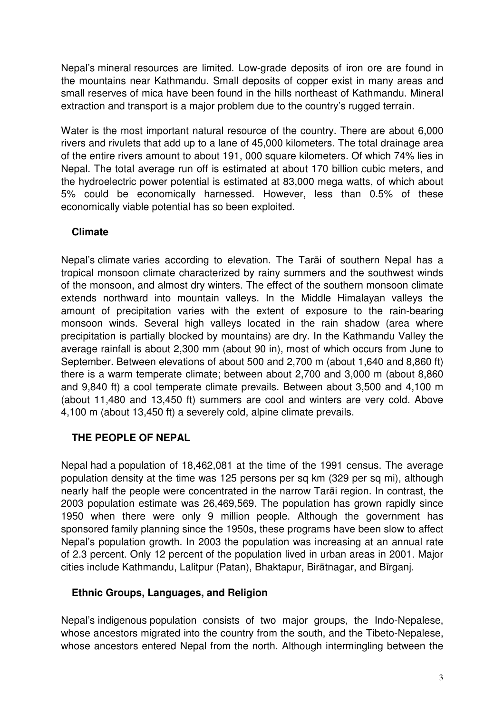Nepal's mineral resources are limited. Low-grade deposits of iron ore are found in the mountains near Kathmandu. Small deposits of copper exist in many areas and small reserves of mica have been found in the hills northeast of Kathmandu. Mineral extraction and transport is a major problem due to the country's rugged terrain.

Water is the most important natural resource of the country. There are about 6,000 rivers and rivulets that add up to a lane of 45,000 kilometers. The total drainage area of the entire rivers amount to about 191, 000 square kilometers. Of which 74% lies in Nepal. The total average run off is estimated at about 170 billion cubic meters, and the hydroelectric power potential is estimated at 83,000 mega watts, of which about 5% could be economically harnessed. However, less than 0.5% of these economically viable potential has so been exploited.

# **Climate**

Nepal's climate varies according to elevation. The Tarāi of southern Nepal has a tropical monsoon climate characterized by rainy summers and the southwest winds of the monsoon, and almost dry winters. The effect of the southern monsoon climate extends northward into mountain valleys. In the Middle Himalayan valleys the amount of precipitation varies with the extent of exposure to the rain-bearing monsoon winds. Several high valleys located in the rain shadow (area where precipitation is partially blocked by mountains) are dry. In the Kathmandu Valley the average rainfall is about 2,300 mm (about 90 in), most of which occurs from June to September. Between elevations of about 500 and 2,700 m (about 1,640 and 8,860 ft) there is a warm temperate climate; between about 2,700 and 3,000 m (about 8,860 and 9,840 ft) a cool temperate climate prevails. Between about 3,500 and 4,100 m (about 11,480 and 13,450 ft) summers are cool and winters are very cold. Above 4,100 m (about 13,450 ft) a severely cold, alpine climate prevails.

# **THE PEOPLE OF NEPAL**

Nepal had a population of 18,462,081 at the time of the 1991 census. The average population density at the time was 125 persons per sq km (329 per sq mi), although nearly half the people were concentrated in the narrow Tarāi region. In contrast, the 2003 population estimate was 26,469,569. The population has grown rapidly since 1950 when there were only 9 million people. Although the government has sponsored family planning since the 1950s, these programs have been slow to affect Nepal's population growth. In 2003 the population was increasing at an annual rate of 2.3 percent. Only 12 percent of the population lived in urban areas in 2001. Major cities include Kathmandu, Lalitpur (Patan), Bhaktapur, Birātnagar, and Bīrganj.

# **Ethnic Groups, Languages, and Religion**

Nepal's indigenous population consists of two major groups, the Indo-Nepalese, whose ancestors migrated into the country from the south, and the Tibeto-Nepalese, whose ancestors entered Nepal from the north. Although intermingling between the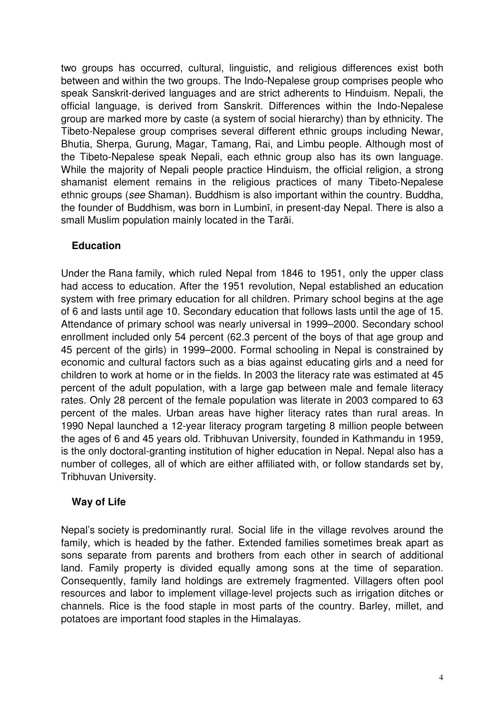two groups has occurred, cultural, linguistic, and religious differences exist both between and within the two groups. The Indo-Nepalese group comprises people who speak Sanskrit-derived languages and are strict adherents to Hinduism. Nepali, the official language, is derived from Sanskrit. Differences within the Indo-Nepalese group are marked more by caste (a system of social hierarchy) than by ethnicity. The Tibeto-Nepalese group comprises several different ethnic groups including Newar, Bhutia, Sherpa, Gurung, Magar, Tamang, Rai, and Limbu people. Although most of the Tibeto-Nepalese speak Nepali, each ethnic group also has its own language. While the majority of Nepali people practice Hinduism, the official religion, a strong shamanist element remains in the religious practices of many Tibeto-Nepalese ethnic groups (see Shaman). Buddhism is also important within the country. Buddha, the founder of Buddhism, was born in Lumbinī, in present-day Nepal. There is also a small Muslim population mainly located in the Tarāi.

# **Education**

Under the Rana family, which ruled Nepal from 1846 to 1951, only the upper class had access to education. After the 1951 revolution, Nepal established an education system with free primary education for all children. Primary school begins at the age of 6 and lasts until age 10. Secondary education that follows lasts until the age of 15. Attendance of primary school was nearly universal in 1999–2000. Secondary school enrollment included only 54 percent (62.3 percent of the boys of that age group and 45 percent of the girls) in 1999–2000. Formal schooling in Nepal is constrained by economic and cultural factors such as a bias against educating girls and a need for children to work at home or in the fields. In 2003 the literacy rate was estimated at 45 percent of the adult population, with a large gap between male and female literacy rates. Only 28 percent of the female population was literate in 2003 compared to 63 percent of the males. Urban areas have higher literacy rates than rural areas. In 1990 Nepal launched a 12-year literacy program targeting 8 million people between the ages of 6 and 45 years old. Tribhuvan University, founded in Kathmandu in 1959, is the only doctoral-granting institution of higher education in Nepal. Nepal also has a number of colleges, all of which are either affiliated with, or follow standards set by, Tribhuvan University.

# **Way of Life**

Nepal's society is predominantly rural. Social life in the village revolves around the family, which is headed by the father. Extended families sometimes break apart as sons separate from parents and brothers from each other in search of additional land. Family property is divided equally among sons at the time of separation. Consequently, family land holdings are extremely fragmented. Villagers often pool resources and labor to implement village-level projects such as irrigation ditches or channels. Rice is the food staple in most parts of the country. Barley, millet, and potatoes are important food staples in the Himalayas.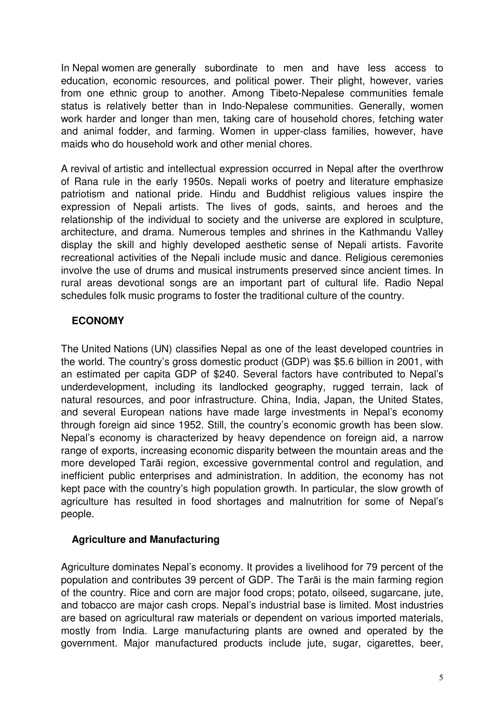In Nepal women are generally subordinate to men and have less access to education, economic resources, and political power. Their plight, however, varies from one ethnic group to another. Among Tibeto-Nepalese communities female status is relatively better than in Indo-Nepalese communities. Generally, women work harder and longer than men, taking care of household chores, fetching water and animal fodder, and farming. Women in upper-class families, however, have maids who do household work and other menial chores.

A revival of artistic and intellectual expression occurred in Nepal after the overthrow of Rana rule in the early 1950s. Nepali works of poetry and literature emphasize patriotism and national pride. Hindu and Buddhist religious values inspire the expression of Nepali artists. The lives of gods, saints, and heroes and the relationship of the individual to society and the universe are explored in sculpture, architecture, and drama. Numerous temples and shrines in the Kathmandu Valley display the skill and highly developed aesthetic sense of Nepali artists. Favorite recreational activities of the Nepali include music and dance. Religious ceremonies involve the use of drums and musical instruments preserved since ancient times. In rural areas devotional songs are an important part of cultural life. Radio Nepal schedules folk music programs to foster the traditional culture of the country.

# **ECONOMY**

The United Nations (UN) classifies Nepal as one of the least developed countries in the world. The country's gross domestic product (GDP) was \$5.6 billion in 2001, with an estimated per capita GDP of \$240. Several factors have contributed to Nepal's underdevelopment, including its landlocked geography, rugged terrain, lack of natural resources, and poor infrastructure. China, India, Japan, the United States, and several European nations have made large investments in Nepal's economy through foreign aid since 1952. Still, the country's economic growth has been slow. Nepal's economy is characterized by heavy dependence on foreign aid, a narrow range of exports, increasing economic disparity between the mountain areas and the more developed Tarāi region, excessive governmental control and regulation, and inefficient public enterprises and administration. In addition, the economy has not kept pace with the country's high population growth. In particular, the slow growth of agriculture has resulted in food shortages and malnutrition for some of Nepal's people.

# **Agriculture and Manufacturing**

Agriculture dominates Nepal's economy. It provides a livelihood for 79 percent of the population and contributes 39 percent of GDP. The Tarāi is the main farming region of the country. Rice and corn are major food crops; potato, oilseed, sugarcane, jute, and tobacco are major cash crops. Nepal's industrial base is limited. Most industries are based on agricultural raw materials or dependent on various imported materials, mostly from India. Large manufacturing plants are owned and operated by the government. Major manufactured products include jute, sugar, cigarettes, beer,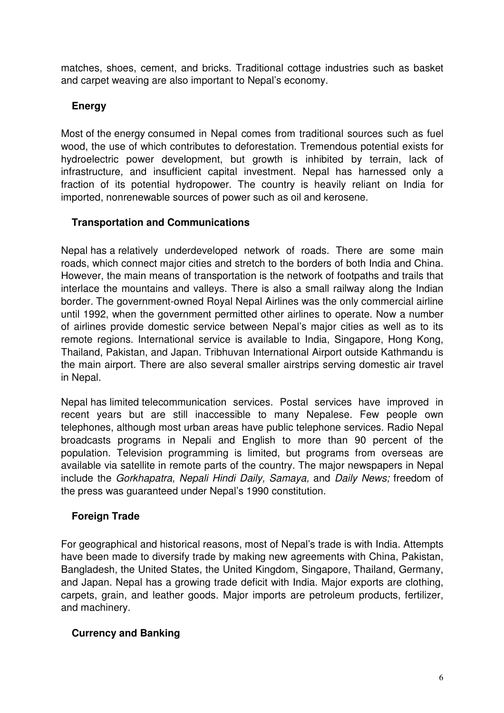matches, shoes, cement, and bricks. Traditional cottage industries such as basket and carpet weaving are also important to Nepal's economy.

# **Energy**

Most of the energy consumed in Nepal comes from traditional sources such as fuel wood, the use of which contributes to deforestation. Tremendous potential exists for hydroelectric power development, but growth is inhibited by terrain, lack of infrastructure, and insufficient capital investment. Nepal has harnessed only a fraction of its potential hydropower. The country is heavily reliant on India for imported, nonrenewable sources of power such as oil and kerosene.

# **Transportation and Communications**

Nepal has a relatively underdeveloped network of roads. There are some main roads, which connect major cities and stretch to the borders of both India and China. However, the main means of transportation is the network of footpaths and trails that interlace the mountains and valleys. There is also a small railway along the Indian border. The government-owned Royal Nepal Airlines was the only commercial airline until 1992, when the government permitted other airlines to operate. Now a number of airlines provide domestic service between Nepal's major cities as well as to its remote regions. International service is available to India, Singapore, Hong Kong, Thailand, Pakistan, and Japan. Tribhuvan International Airport outside Kathmandu is the main airport. There are also several smaller airstrips serving domestic air travel in Nepal.

Nepal has limited telecommunication services. Postal services have improved in recent years but are still inaccessible to many Nepalese. Few people own telephones, although most urban areas have public telephone services. Radio Nepal broadcasts programs in Nepali and English to more than 90 percent of the population. Television programming is limited, but programs from overseas are available via satellite in remote parts of the country. The major newspapers in Nepal include the Gorkhapatra, Nepali Hindi Daily, Samaya, and Daily News; freedom of the press was guaranteed under Nepal's 1990 constitution.

# **Foreign Trade**

For geographical and historical reasons, most of Nepal's trade is with India. Attempts have been made to diversify trade by making new agreements with China, Pakistan, Bangladesh, the United States, the United Kingdom, Singapore, Thailand, Germany, and Japan. Nepal has a growing trade deficit with India. Major exports are clothing, carpets, grain, and leather goods. Major imports are petroleum products, fertilizer, and machinery.

# **Currency and Banking**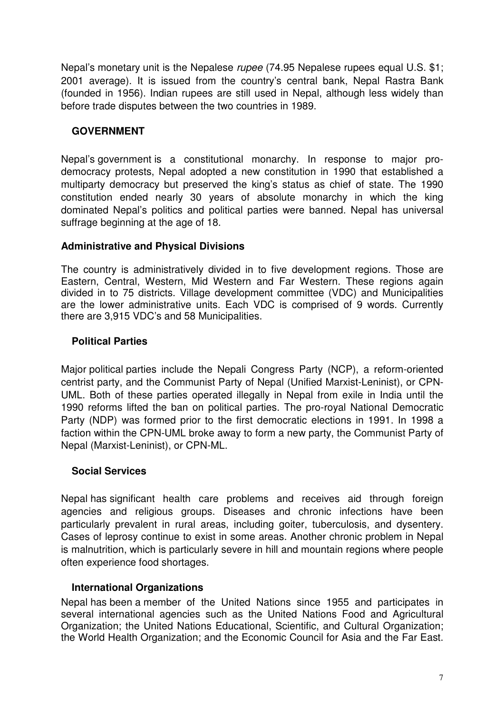Nepal's monetary unit is the Nepalese rupee (74.95 Nepalese rupees equal U.S. \$1; 2001 average). It is issued from the country's central bank, Nepal Rastra Bank (founded in 1956). Indian rupees are still used in Nepal, although less widely than before trade disputes between the two countries in 1989.

# **GOVERNMENT**

Nepal's government is a constitutional monarchy. In response to major prodemocracy protests, Nepal adopted a new constitution in 1990 that established a multiparty democracy but preserved the king's status as chief of state. The 1990 constitution ended nearly 30 years of absolute monarchy in which the king dominated Nepal's politics and political parties were banned. Nepal has universal suffrage beginning at the age of 18.

# **Administrative and Physical Divisions**

The country is administratively divided in to five development regions. Those are Eastern, Central, Western, Mid Western and Far Western. These regions again divided in to 75 districts. Village development committee (VDC) and Municipalities are the lower administrative units. Each VDC is comprised of 9 words. Currently there are 3,915 VDC's and 58 Municipalities.

# **Political Parties**

Major political parties include the Nepali Congress Party (NCP), a reform-oriented centrist party, and the Communist Party of Nepal (Unified Marxist-Leninist), or CPN-UML. Both of these parties operated illegally in Nepal from exile in India until the 1990 reforms lifted the ban on political parties. The pro-royal National Democratic Party (NDP) was formed prior to the first democratic elections in 1991. In 1998 a faction within the CPN-UML broke away to form a new party, the Communist Party of Nepal (Marxist-Leninist), or CPN-ML.

# **Social Services**

Nepal has significant health care problems and receives aid through foreign agencies and religious groups. Diseases and chronic infections have been particularly prevalent in rural areas, including goiter, tuberculosis, and dysentery. Cases of leprosy continue to exist in some areas. Another chronic problem in Nepal is malnutrition, which is particularly severe in hill and mountain regions where people often experience food shortages.

# **International Organizations**

Nepal has been a member of the United Nations since 1955 and participates in several international agencies such as the United Nations Food and Agricultural Organization; the United Nations Educational, Scientific, and Cultural Organization; the World Health Organization; and the Economic Council for Asia and the Far East.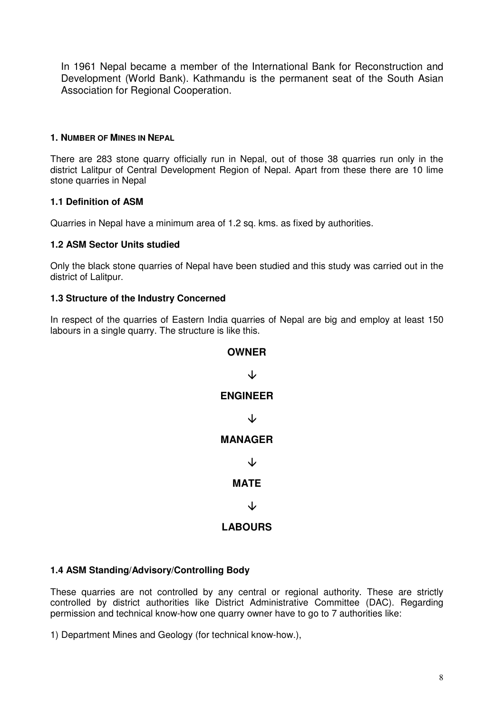In 1961 Nepal became a member of the International Bank for Reconstruction and Development (World Bank). Kathmandu is the permanent seat of the South Asian Association for Regional Cooperation.

#### **1. NUMBER OF MINES IN NEPAL**

There are 283 stone quarry officially run in Nepal, out of those 38 quarries run only in the district Lalitpur of Central Development Region of Nepal. Apart from these there are 10 lime stone quarries in Nepal

# **1.1 Definition of ASM**

Quarries in Nepal have a minimum area of 1.2 sq. kms. as fixed by authorities.

#### **1.2 ASM Sector Units studied**

Only the black stone quarries of Nepal have been studied and this study was carried out in the district of Lalitpur.

#### **1.3 Structure of the Industry Concerned**

In respect of the quarries of Eastern India quarries of Nepal are big and employ at least 150 labours in a single quarry. The structure is like this.



# **1.4 ASM Standing/Advisory/Controlling Body**

These quarries are not controlled by any central or regional authority. These are strictly controlled by district authorities like District Administrative Committee (DAC). Regarding permission and technical know-how one quarry owner have to go to 7 authorities like:

1) Department Mines and Geology (for technical know-how.),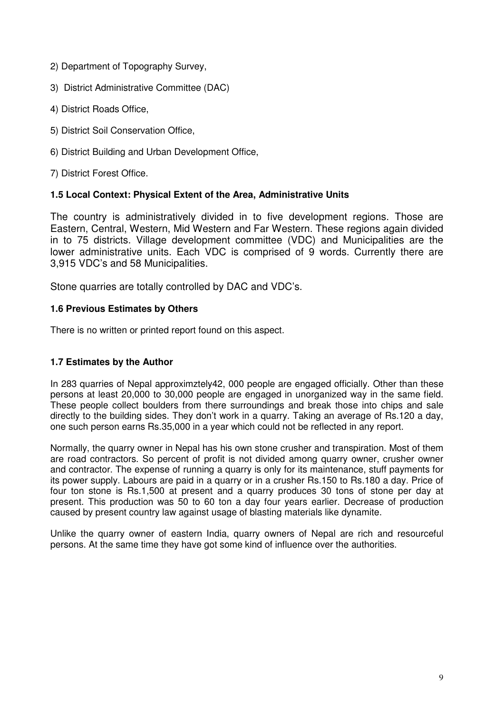- 2) Department of Topography Survey,
- 3) District Administrative Committee (DAC)
- 4) District Roads Office,
- 5) District Soil Conservation Office,
- 6) District Building and Urban Development Office,

7) District Forest Office.

#### **1.5 Local Context: Physical Extent of the Area, Administrative Units**

The country is administratively divided in to five development regions. Those are Eastern, Central, Western, Mid Western and Far Western. These regions again divided in to 75 districts. Village development committee (VDC) and Municipalities are the lower administrative units. Each VDC is comprised of 9 words. Currently there are 3,915 VDC's and 58 Municipalities.

Stone quarries are totally controlled by DAC and VDC's.

#### **1.6 Previous Estimates by Others**

There is no written or printed report found on this aspect.

#### **1.7 Estimates by the Author**

In 283 quarries of Nepal approximztely42, 000 people are engaged officially. Other than these persons at least 20,000 to 30,000 people are engaged in unorganized way in the same field. These people collect boulders from there surroundings and break those into chips and sale directly to the building sides. They don't work in a quarry. Taking an average of Rs.120 a day, one such person earns Rs.35,000 in a year which could not be reflected in any report.

Normally, the quarry owner in Nepal has his own stone crusher and transpiration. Most of them are road contractors. So percent of profit is not divided among quarry owner, crusher owner and contractor. The expense of running a quarry is only for its maintenance, stuff payments for its power supply. Labours are paid in a quarry or in a crusher Rs.150 to Rs.180 a day. Price of four ton stone is Rs.1,500 at present and a quarry produces 30 tons of stone per day at present. This production was 50 to 60 ton a day four years earlier. Decrease of production caused by present country law against usage of blasting materials like dynamite.

Unlike the quarry owner of eastern India, quarry owners of Nepal are rich and resourceful persons. At the same time they have got some kind of influence over the authorities.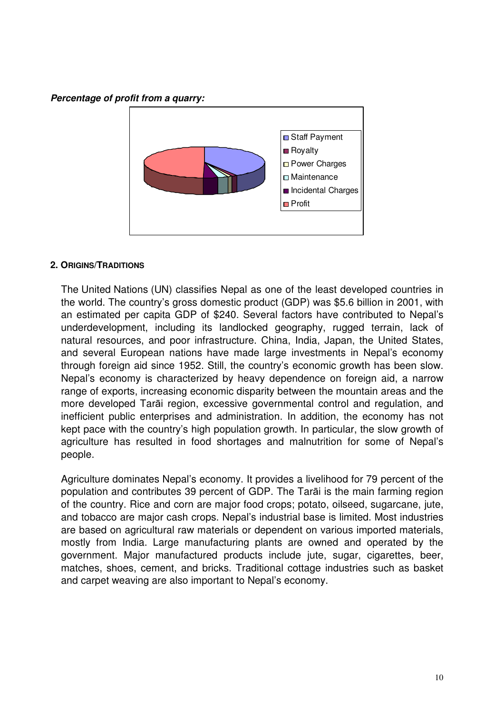**Percentage of profit from a quarry:** 



#### **2. ORIGINS/TRADITIONS**

The United Nations (UN) classifies Nepal as one of the least developed countries in the world. The country's gross domestic product (GDP) was \$5.6 billion in 2001, with an estimated per capita GDP of \$240. Several factors have contributed to Nepal's underdevelopment, including its landlocked geography, rugged terrain, lack of natural resources, and poor infrastructure. China, India, Japan, the United States, and several European nations have made large investments in Nepal's economy through foreign aid since 1952. Still, the country's economic growth has been slow. Nepal's economy is characterized by heavy dependence on foreign aid, a narrow range of exports, increasing economic disparity between the mountain areas and the more developed Tarāi region, excessive governmental control and regulation, and inefficient public enterprises and administration. In addition, the economy has not kept pace with the country's high population growth. In particular, the slow growth of agriculture has resulted in food shortages and malnutrition for some of Nepal's people.

Agriculture dominates Nepal's economy. It provides a livelihood for 79 percent of the population and contributes 39 percent of GDP. The Tarāi is the main farming region of the country. Rice and corn are major food crops; potato, oilseed, sugarcane, jute, and tobacco are major cash crops. Nepal's industrial base is limited. Most industries are based on agricultural raw materials or dependent on various imported materials, mostly from India. Large manufacturing plants are owned and operated by the government. Major manufactured products include jute, sugar, cigarettes, beer, matches, shoes, cement, and bricks. Traditional cottage industries such as basket and carpet weaving are also important to Nepal's economy.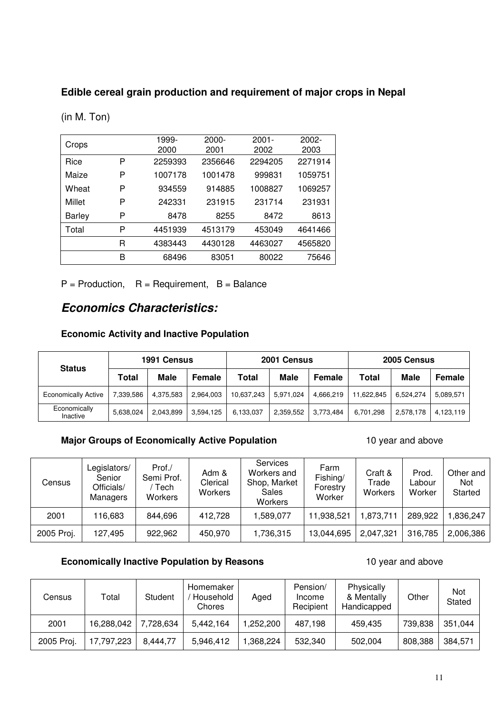# **Edible cereal grain production and requirement of major crops in Nepal**

| Crops         |   | 1999-   | $2000 -$ | $2001 -$ | $2002 -$ |
|---------------|---|---------|----------|----------|----------|
|               |   | 2000    | 2001     | 2002     | 2003     |
| Rice          | P | 2259393 | 2356646  | 2294205  | 2271914  |
| Maize         | P | 1007178 | 1001478  | 999831   | 1059751  |
| Wheat         | P | 934559  | 914885   | 1008827  | 1069257  |
| Millet        | P | 242331  | 231915   | 231714   | 231931   |
| <b>Barley</b> | P | 8478    | 8255     | 8472     | 8613     |
| Total         | P | 4451939 | 4513179  | 453049   | 4641466  |
|               | R | 4383443 | 4430128  | 4463027  | 4565820  |
|               | B | 68496   | 83051    | 80022    | 75646    |

(in M. Ton)

 $P =$  Production,  $R =$  Requirement,  $B =$  Balance

# **Economics Characteristics:**

# **Economic Activity and Inactive Population**

| <b>Status</b>              | 1991 Census |             |           |            | 2001 Census |               | 2005 Census |             |           |
|----------------------------|-------------|-------------|-----------|------------|-------------|---------------|-------------|-------------|-----------|
|                            | Total       | <b>Male</b> | Female    | Total      | <b>Male</b> | <b>Female</b> | Total       | <b>Male</b> | Female    |
| <b>Economically Active</b> | 7,339,586   | 4,375,583   | 2,964,003 | 10,637,243 | 5,971,024   | 4,666,219     | 11,622,845  | 6.524.274   | 5,089,571 |
| Economically<br>Inactive   | 5,638,024   | 2,043,899   | 3,594,125 | 6,133,037  | 2,359,552   | 3.773.484     | 6,701,298   | 2,578,178   | 4.123.119 |

**Major Groups of Economically Active Population** 10 year and above

| Census     | Legislators/<br>Senior<br>Officials/<br>Managers | Prof./<br>Semi Prof.<br>Tech<br>Workers | Adm &<br>Clerical<br>Workers | <b>Services</b><br>Workers and<br>Shop, Market<br>Sales<br>Workers | Farm<br>Fishing/<br>Forestry<br>Worker | Craft &<br>Trade<br>Workers | Prod.<br>Labour<br>Worker | Other and<br><b>Not</b><br>Started |
|------------|--------------------------------------------------|-----------------------------------------|------------------------------|--------------------------------------------------------------------|----------------------------------------|-----------------------------|---------------------------|------------------------------------|
| 2001       | 116,683                                          | 844,696                                 | 412,728                      | 1,589,077                                                          | 11,938,521                             | 1,873,711                   | 289,922                   | 1,836,247                          |
| 2005 Proj. | 127,495                                          | 922,962                                 | 450,970                      | 1,736,315                                                          | 13,044,695                             | 2,047,321                   | 316,785                   | 2,006,386                          |

# **Economically Inactive Population by Reasons** 10 year and above

| Census     | Total      | Student   | Homemaker<br>Household<br>Chores | Aged      | Pension/<br>Income<br>Recipient | Physically<br>& Mentally<br>Handicapped | Other   | Not<br>Stated |
|------------|------------|-----------|----------------------------------|-----------|---------------------------------|-----------------------------------------|---------|---------------|
| 2001       | 16,288,042 | 7,728,634 | 5,442,164                        | 1,252,200 | 487.198                         | 459.435                                 | 739,838 | 351,044       |
| 2005 Proj. | 17,797,223 | 8.444.77  | 5,946,412                        | 1,368,224 | 532,340                         | 502.004                                 | 808,388 | 384,571       |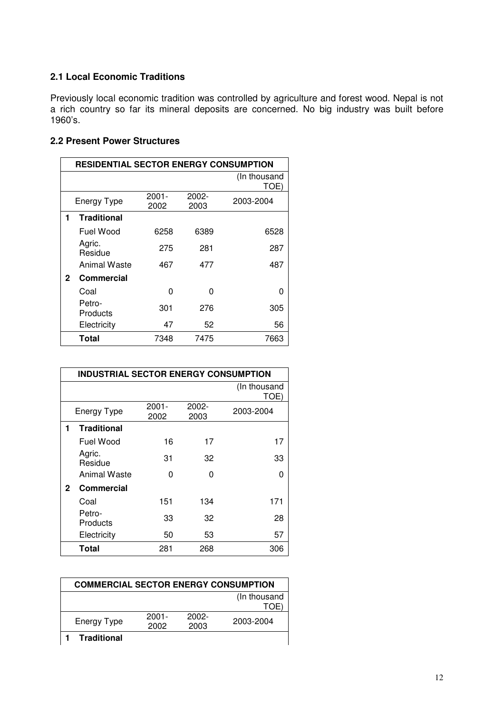# **2.1 Local Economic Traditions**

Previously local economic tradition was controlled by agriculture and forest wood. Nepal is not a rich country so far its mineral deposits are concerned. No big industry was built before 1960's.

# **2.2 Present Power Structures**

|              | RESIDENTIAL SECTOR ENERGY CONSUMPTION |                  |               |                      |  |  |  |
|--------------|---------------------------------------|------------------|---------------|----------------------|--|--|--|
|              |                                       |                  |               | (In thousand<br>TOE) |  |  |  |
|              | <b>Energy Type</b>                    | $2001 -$<br>2002 | 2002-<br>2003 | 2003-2004            |  |  |  |
| 1            | <b>Traditional</b>                    |                  |               |                      |  |  |  |
|              | Fuel Wood                             | 6258             | 6389          | 6528                 |  |  |  |
|              | Agric.<br>Residue                     | 275              | 281           | 287                  |  |  |  |
|              | Animal Waste                          | 467              | 477           | 487                  |  |  |  |
| $\mathbf{2}$ | <b>Commercial</b>                     |                  |               |                      |  |  |  |
|              | Coal                                  | 0                | n             | 0                    |  |  |  |
|              | Petro-<br>Products                    | 301              | 276           | 305                  |  |  |  |
|              | Electricity                           | 47               | 52            | 56                   |  |  |  |
|              | <b>Total</b>                          | 7348             | 7475          | 7663                 |  |  |  |

|             | <b>INDUSTRIAL SECTOR ENERGY CONSUMPTION</b> |                  |               |                      |  |  |  |  |
|-------------|---------------------------------------------|------------------|---------------|----------------------|--|--|--|--|
|             |                                             |                  |               | (In thousand<br>TOE) |  |  |  |  |
|             | Energy Type                                 | $2001 -$<br>2002 | 2002-<br>2003 | 2003-2004            |  |  |  |  |
| 1           | <b>Traditional</b>                          |                  |               |                      |  |  |  |  |
|             | Fuel Wood                                   | 16               | 17            | 17                   |  |  |  |  |
|             | Agric.<br>Residue                           | 31               | 32            | 33                   |  |  |  |  |
|             | Animal Waste                                | n                | O             | ი                    |  |  |  |  |
| $\mathbf 2$ | Commercial                                  |                  |               |                      |  |  |  |  |
|             | Coal                                        | 151              | 134           | 171                  |  |  |  |  |
|             | Petro-<br>Products                          | 33               | 32            | 28                   |  |  |  |  |
|             | Electricity                                 | 50               | 53            | 57                   |  |  |  |  |
|             | Total                                       | 281              | 268           | 306                  |  |  |  |  |

| <b>COMMERCIAL SECTOR ENERGY CONSUMPTION</b> |          |          |           |  |  |  |
|---------------------------------------------|----------|----------|-----------|--|--|--|
| (In thousand                                |          |          |           |  |  |  |
|                                             |          |          | TOE       |  |  |  |
| <b>Energy Type</b>                          | $2001 -$ | $2002 -$ | 2003-2004 |  |  |  |
|                                             | 2002     | 2003     |           |  |  |  |
| <b>Traditional</b>                          |          |          |           |  |  |  |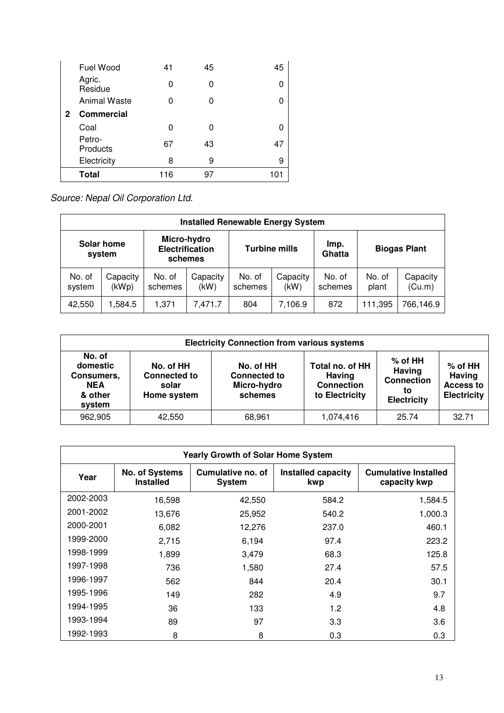|              | Fuel Wood           | 41  | 45 | 45  |
|--------------|---------------------|-----|----|-----|
|              | Agric.<br>Residue   | 0   | O  | 0   |
|              | <b>Animal Waste</b> | ი   | U  | 0   |
| $\mathbf{2}$ | <b>Commercial</b>   |     |    |     |
|              | Coal                | 0   |    | 0   |
|              | Petro-<br>Products  | 67  | 43 | 47  |
|              | Electricity         | 8   | 9  | 9   |
|              | <b>Total</b>        | 116 | 97 | 101 |

Source: Nepal Oil Corporation Ltd.

| <b>Installed Renewable Energy System</b> |                      |                   |                                                                          |                   |                  |                   |                     |                    |
|------------------------------------------|----------------------|-------------------|--------------------------------------------------------------------------|-------------------|------------------|-------------------|---------------------|--------------------|
|                                          | Solar home<br>system |                   | Micro-hydro<br><b>Electrification</b><br><b>Turbine mills</b><br>schemes |                   | Imp.<br>Ghatta   |                   | <b>Biogas Plant</b> |                    |
| No. of<br>system                         | Capacity<br>(kWp)    | No. of<br>schemes | Capacity<br>(kW)                                                         | No. of<br>schemes | Capacity<br>(kW) | No. of<br>schemes | No. of<br>plant     | Capacity<br>(Cu.m) |
| 42,550                                   | 1,584.5              | 1,371             | 7,471.7                                                                  | 804               | 7,106.9          | 872               | 111,395             | 766,146.9          |

|                                                                     | <b>Electricity Connection from various systems</b>       |                                                            |                                                                         |                                                                             |                                                                      |  |  |
|---------------------------------------------------------------------|----------------------------------------------------------|------------------------------------------------------------|-------------------------------------------------------------------------|-----------------------------------------------------------------------------|----------------------------------------------------------------------|--|--|
| No. of<br>domestic<br>Consumers,<br><b>NEA</b><br>& other<br>system | No. of HH<br><b>Connected to</b><br>solar<br>Home system | No. of HH<br><b>Connected to</b><br>Micro-hydro<br>schemes | Total no. of HH<br><b>Having</b><br><b>Connection</b><br>to Electricity | $%$ of HH<br><b>Having</b><br><b>Connection</b><br>to<br><b>Electricity</b> | $%$ of HH<br><b>Having</b><br><b>Access to</b><br><b>Electricity</b> |  |  |
| 962,905                                                             | 42,550                                                   | 68,961                                                     | 1,074,416                                                               | 25.74                                                                       | 32.71                                                                |  |  |

|           | <b>Yearly Growth of Solar Home System</b> |                                    |                                  |                                             |  |  |  |  |
|-----------|-------------------------------------------|------------------------------------|----------------------------------|---------------------------------------------|--|--|--|--|
| Year      | No. of Systems<br><b>Installed</b>        | Cumulative no. of<br><b>System</b> | <b>Installed capacity</b><br>kwp | <b>Cumulative Installed</b><br>capacity kwp |  |  |  |  |
| 2002-2003 | 16,598                                    | 42,550                             | 584.2                            | 1,584.5                                     |  |  |  |  |
| 2001-2002 | 13,676                                    | 25,952                             | 540.2                            | 1,000.3                                     |  |  |  |  |
| 2000-2001 | 6,082                                     | 12,276                             | 237.0                            | 460.1                                       |  |  |  |  |
| 1999-2000 | 2,715                                     | 6,194                              | 97.4                             | 223.2                                       |  |  |  |  |
| 1998-1999 | 1,899                                     | 3,479                              | 68.3                             | 125.8                                       |  |  |  |  |
| 1997-1998 | 736                                       | 1,580                              | 27.4                             | 57.5                                        |  |  |  |  |
| 1996-1997 | 562                                       | 844                                | 20.4                             | 30.1                                        |  |  |  |  |
| 1995-1996 | 149                                       | 282                                | 4.9                              | 9.7                                         |  |  |  |  |
| 1994-1995 | 36                                        | 133                                | 1.2                              | 4.8                                         |  |  |  |  |
| 1993-1994 | 89                                        | 97                                 | 3.3                              | 3.6                                         |  |  |  |  |
| 1992-1993 | 8                                         | 8                                  | 0.3                              | 0.3                                         |  |  |  |  |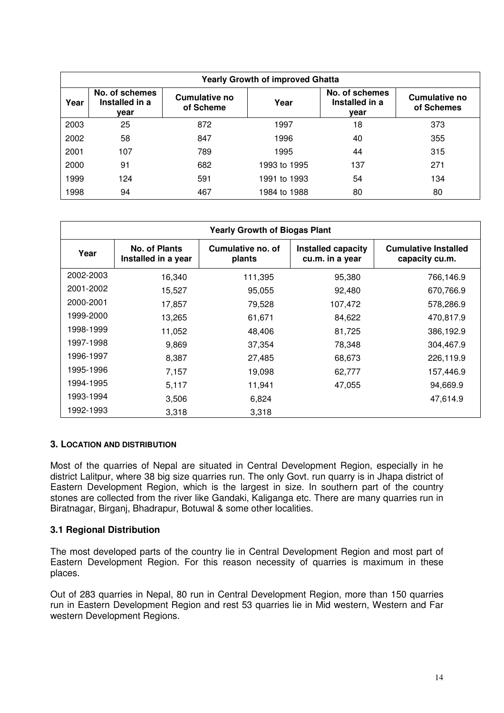|      | <b>Yearly Growth of improved Ghatta</b>  |                                   |              |                                          |                                    |  |  |  |  |
|------|------------------------------------------|-----------------------------------|--------------|------------------------------------------|------------------------------------|--|--|--|--|
| Year | No. of schemes<br>Installed in a<br>year | <b>Cumulative no</b><br>of Scheme | Year         | No. of schemes<br>Installed in a<br>year | <b>Cumulative no</b><br>of Schemes |  |  |  |  |
| 2003 | 25                                       | 872                               | 1997         | 18                                       | 373                                |  |  |  |  |
| 2002 | 58                                       | 847                               | 1996         | 40                                       | 355                                |  |  |  |  |
| 2001 | 107                                      | 789                               | 1995         | 44                                       | 315                                |  |  |  |  |
| 2000 | 91                                       | 682                               | 1993 to 1995 | 137                                      | 271                                |  |  |  |  |
| 1999 | 124                                      | 591                               | 1991 to 1993 | 54                                       | 134                                |  |  |  |  |
| 1998 | 94                                       | 467                               | 1984 to 1988 | 80                                       | 80                                 |  |  |  |  |

|           | <b>Yearly Growth of Biogas Plant</b>        |                             |                                       |                                               |  |  |  |  |  |
|-----------|---------------------------------------------|-----------------------------|---------------------------------------|-----------------------------------------------|--|--|--|--|--|
| Year      | <b>No. of Plants</b><br>Installed in a year | Cumulative no. of<br>plants | Installed capacity<br>cu.m. in a year | <b>Cumulative Installed</b><br>capacity cu.m. |  |  |  |  |  |
| 2002-2003 | 16,340                                      | 111,395                     | 95,380                                | 766,146.9                                     |  |  |  |  |  |
| 2001-2002 | 15,527                                      | 95,055                      | 92,480                                | 670,766.9                                     |  |  |  |  |  |
| 2000-2001 | 17,857                                      | 79,528                      | 107,472                               | 578,286.9                                     |  |  |  |  |  |
| 1999-2000 | 13,265                                      | 61,671                      | 84,622                                | 470,817.9                                     |  |  |  |  |  |
| 1998-1999 | 11,052                                      | 48,406                      | 81,725                                | 386,192.9                                     |  |  |  |  |  |
| 1997-1998 | 9,869                                       | 37,354                      | 78,348                                | 304,467.9                                     |  |  |  |  |  |
| 1996-1997 | 8,387                                       | 27,485                      | 68,673                                | 226,119.9                                     |  |  |  |  |  |
| 1995-1996 | 7,157                                       | 19,098                      | 62,777                                | 157,446.9                                     |  |  |  |  |  |
| 1994-1995 | 5,117                                       | 11,941                      | 47,055                                | 94,669.9                                      |  |  |  |  |  |
| 1993-1994 | 3,506                                       | 6,824                       |                                       | 47,614.9                                      |  |  |  |  |  |
| 1992-1993 | 3,318                                       | 3,318                       |                                       |                                               |  |  |  |  |  |

#### **3. LOCATION AND DISTRIBUTION**

Most of the quarries of Nepal are situated in Central Development Region, especially in he district Lalitpur, where 38 big size quarries run. The only Govt. run quarry is in Jhapa district of Eastern Development Region, which is the largest in size. In southern part of the country stones are collected from the river like Gandaki, Kaliganga etc. There are many quarries run in Biratnagar, Birganj, Bhadrapur, Botuwal & some other localities.

#### **3.1 Regional Distribution**

The most developed parts of the country lie in Central Development Region and most part of Eastern Development Region. For this reason necessity of quarries is maximum in these places.

Out of 283 quarries in Nepal, 80 run in Central Development Region, more than 150 quarries run in Eastern Development Region and rest 53 quarries lie in Mid western, Western and Far western Development Regions.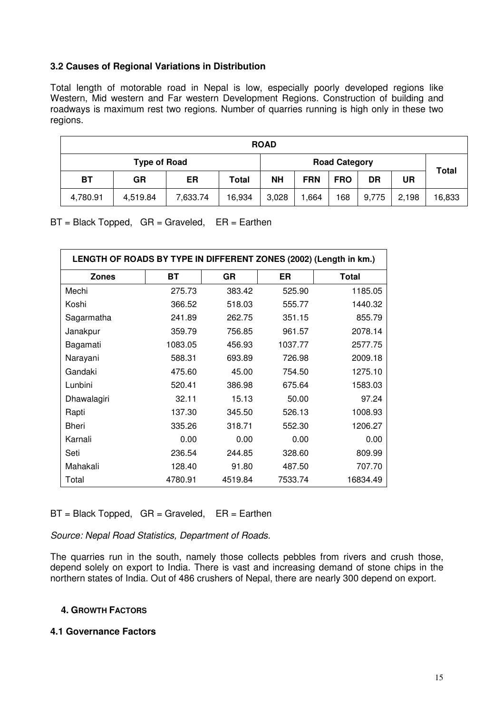#### **3.2 Causes of Regional Variations in Distribution**

Total length of motorable road in Nepal is low, especially poorly developed regions like Western, Mid western and Far western Development Regions. Construction of building and roadways is maximum rest two regions. Number of quarries running is high only in these two regions.

| <b>ROAD</b> |                     |          |        |           |                      |            |       |       |              |
|-------------|---------------------|----------|--------|-----------|----------------------|------------|-------|-------|--------------|
|             | <b>Type of Road</b> |          |        |           | <b>Road Category</b> |            |       |       | <b>Total</b> |
| BT          | <b>GR</b>           | ER       | Total  | <b>NH</b> | <b>FRN</b>           | <b>FRO</b> | DR    | UR    |              |
| 4,780.91    | 4,519.84            | 7,633.74 | 16,934 | 3,028     | .664                 | 168        | 9,775 | 2,198 | 16,833       |

 $BT = Black Tapped, GR = Graveled, ER = Earthen$ 

| LENGTH OF ROADS BY TYPE IN DIFFERENT ZONES (2002) (Length in km.) |         |         |         |              |  |  |  |  |
|-------------------------------------------------------------------|---------|---------|---------|--------------|--|--|--|--|
| <b>Zones</b>                                                      | ВT      | GR      | ER      | <b>Total</b> |  |  |  |  |
| Mechi                                                             | 275.73  | 383.42  | 525.90  | 1185.05      |  |  |  |  |
| Koshi                                                             | 366.52  | 518.03  | 555.77  | 1440.32      |  |  |  |  |
| Sagarmatha                                                        | 241.89  | 262.75  | 351.15  | 855.79       |  |  |  |  |
| Janakpur                                                          | 359.79  | 756.85  | 961.57  | 2078.14      |  |  |  |  |
| Bagamati                                                          | 1083.05 | 456.93  | 1037.77 | 2577.75      |  |  |  |  |
| Narayani                                                          | 588.31  | 693.89  | 726.98  | 2009.18      |  |  |  |  |
| Gandaki                                                           | 475.60  | 45.00   | 754.50  | 1275.10      |  |  |  |  |
| Lunbini                                                           | 520.41  | 386.98  | 675.64  | 1583.03      |  |  |  |  |
| Dhawalagiri                                                       | 32.11   | 15.13   | 50.00   | 97.24        |  |  |  |  |
| Rapti                                                             | 137.30  | 345.50  | 526.13  | 1008.93      |  |  |  |  |
| Bheri                                                             | 335.26  | 318.71  | 552.30  | 1206.27      |  |  |  |  |
| Karnali                                                           | 0.00    | 0.00    | 0.00    | 0.00         |  |  |  |  |
| Seti                                                              | 236.54  | 244.85  | 328.60  | 809.99       |  |  |  |  |
| Mahakali                                                          | 128.40  | 91.80   | 487.50  | 707.70       |  |  |  |  |
| Total                                                             | 4780.91 | 4519.84 | 7533.74 | 16834.49     |  |  |  |  |

 $BT = Black Topped, GR = Graveled, ER = Earthen$ 

Source: Nepal Road Statistics, Department of Roads.

The quarries run in the south, namely those collects pebbles from rivers and crush those, depend solely on export to India. There is vast and increasing demand of stone chips in the northern states of India. Out of 486 crushers of Nepal, there are nearly 300 depend on export.

#### **4. GROWTH FACTORS**

#### **4.1 Governance Factors**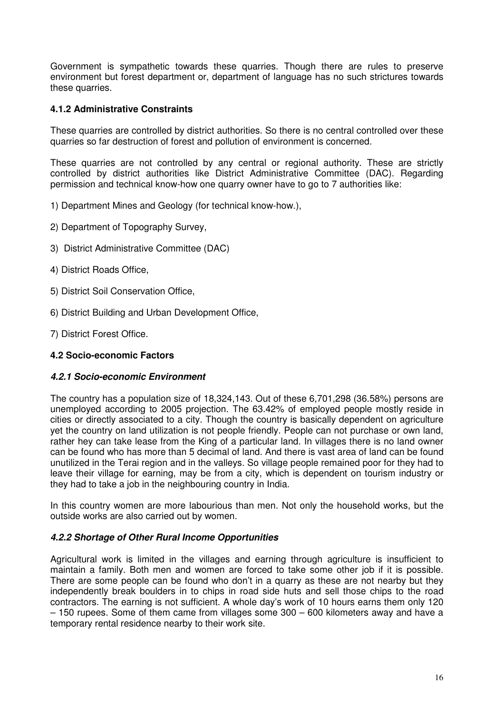Government is sympathetic towards these quarries. Though there are rules to preserve environment but forest department or, department of language has no such strictures towards these quarries.

# **4.1.2 Administrative Constraints**

These quarries are controlled by district authorities. So there is no central controlled over these quarries so far destruction of forest and pollution of environment is concerned.

These quarries are not controlled by any central or regional authority. These are strictly controlled by district authorities like District Administrative Committee (DAC). Regarding permission and technical know-how one quarry owner have to go to 7 authorities like:

- 1) Department Mines and Geology (for technical know-how.),
- 2) Department of Topography Survey,
- 3) District Administrative Committee (DAC)
- 4) District Roads Office,
- 5) District Soil Conservation Office,
- 6) District Building and Urban Development Office,
- 7) District Forest Office.

#### **4.2 Socio-economic Factors**

# **4.2.1 Socio-economic Environment**

The country has a population size of 18,324,143. Out of these 6,701,298 (36.58%) persons are unemployed according to 2005 projection. The 63.42% of employed people mostly reside in cities or directly associated to a city. Though the country is basically dependent on agriculture yet the country on land utilization is not people friendly. People can not purchase or own land, rather hey can take lease from the King of a particular land. In villages there is no land owner can be found who has more than 5 decimal of land. And there is vast area of land can be found unutilized in the Terai region and in the valleys. So village people remained poor for they had to leave their village for earning, may be from a city, which is dependent on tourism industry or they had to take a job in the neighbouring country in India.

In this country women are more labourious than men. Not only the household works, but the outside works are also carried out by women.

# **4.2.2 Shortage of Other Rural Income Opportunities**

Agricultural work is limited in the villages and earning through agriculture is insufficient to maintain a family. Both men and women are forced to take some other job if it is possible. There are some people can be found who don't in a quarry as these are not nearby but they independently break boulders in to chips in road side huts and sell those chips to the road contractors. The earning is not sufficient. A whole day's work of 10 hours earns them only 120 – 150 rupees. Some of them came from villages some 300 – 600 kilometers away and have a temporary rental residence nearby to their work site.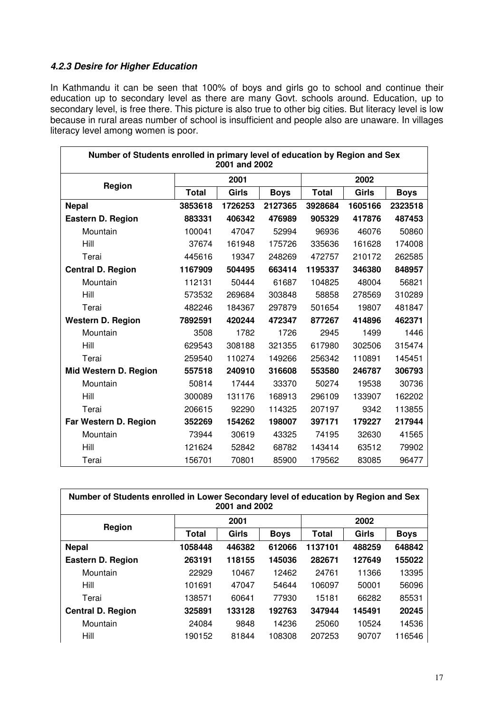#### **4.2.3 Desire for Higher Education**

In Kathmandu it can be seen that 100% of boys and girls go to school and continue their education up to secondary level as there are many Govt. schools around. Education, up to secondary level, is free there. This picture is also true to other big cities. But literacy level is low because in rural areas number of school is insufficient and people also are unaware. In villages literacy level among women is poor.

| Number of Students enrolled in primary level of education by Region and Sex<br>2001 and 2002 |              |         |             |              |         |             |  |  |
|----------------------------------------------------------------------------------------------|--------------|---------|-------------|--------------|---------|-------------|--|--|
| Region                                                                                       |              | 2001    |             | 2002         |         |             |  |  |
|                                                                                              | <b>Total</b> | Girls   | <b>Boys</b> | <b>Total</b> | Girls   | <b>Boys</b> |  |  |
| <b>Nepal</b>                                                                                 | 3853618      | 1726253 | 2127365     | 3928684      | 1605166 | 2323518     |  |  |
| <b>Eastern D. Region</b>                                                                     | 883331       | 406342  | 476989      | 905329       | 417876  | 487453      |  |  |
| Mountain                                                                                     | 100041       | 47047   | 52994       | 96936        | 46076   | 50860       |  |  |
| Hill                                                                                         | 37674        | 161948  | 175726      | 335636       | 161628  | 174008      |  |  |
| Terai                                                                                        | 445616       | 19347   | 248269      | 472757       | 210172  | 262585      |  |  |
| <b>Central D. Region</b>                                                                     | 1167909      | 504495  | 663414      | 1195337      | 346380  | 848957      |  |  |
| Mountain                                                                                     | 112131       | 50444   | 61687       | 104825       | 48004   | 56821       |  |  |
| Hill                                                                                         | 573532       | 269684  | 303848      | 58858        | 278569  | 310289      |  |  |
| Terai                                                                                        | 482246       | 184367  | 297879      | 501654       | 19807   | 481847      |  |  |
| <b>Western D. Region</b>                                                                     | 7892591      | 420244  | 472347      | 877267       | 414896  | 462371      |  |  |
| Mountain                                                                                     | 3508         | 1782    | 1726        | 2945         | 1499    | 1446        |  |  |
| Hill                                                                                         | 629543       | 308188  | 321355      | 617980       | 302506  | 315474      |  |  |
| Terai                                                                                        | 259540       | 110274  | 149266      | 256342       | 110891  | 145451      |  |  |
| Mid Western D. Region                                                                        | 557518       | 240910  | 316608      | 553580       | 246787  | 306793      |  |  |
| Mountain                                                                                     | 50814        | 17444   | 33370       | 50274        | 19538   | 30736       |  |  |
| Hill                                                                                         | 300089       | 131176  | 168913      | 296109       | 133907  | 162202      |  |  |
| Terai                                                                                        | 206615       | 92290   | 114325      | 207197       | 9342    | 113855      |  |  |
| Far Western D. Region                                                                        | 352269       | 154262  | 198007      | 397171       | 179227  | 217944      |  |  |
| Mountain                                                                                     | 73944        | 30619   | 43325       | 74195        | 32630   | 41565       |  |  |
| Hill                                                                                         | 121624       | 52842   | 68782       | 143414       | 63512   | 79902       |  |  |
| Terai                                                                                        | 156701       | 70801   | 85900       | 179562       | 83085   | 96477       |  |  |

| Number of Students enrolled in Lower Secondary level of education by Region and Sex<br>2001 and 2002 |              |        |             |              |        |             |  |  |
|------------------------------------------------------------------------------------------------------|--------------|--------|-------------|--------------|--------|-------------|--|--|
| Region                                                                                               |              | 2001   |             |              | 2002   |             |  |  |
|                                                                                                      | <b>Total</b> | Girls  | <b>Boys</b> | <b>Total</b> | Girls  | <b>Boys</b> |  |  |
| <b>Nepal</b>                                                                                         | 1058448      | 446382 | 612066      | 1137101      | 488259 | 648842      |  |  |
| <b>Eastern D. Region</b>                                                                             | 263191       | 118155 | 145036      | 282671       | 127649 | 155022      |  |  |
| Mountain                                                                                             | 22929        | 10467  | 12462       | 24761        | 11366  | 13395       |  |  |
| Hill                                                                                                 | 101691       | 47047  | 54644       | 106097       | 50001  | 56096       |  |  |
| Terai                                                                                                | 138571       | 60641  | 77930       | 15181        | 66282  | 85531       |  |  |
| <b>Central D. Region</b>                                                                             | 325891       | 133128 | 192763      | 347944       | 145491 | 20245       |  |  |
| Mountain                                                                                             | 24084        | 9848   | 14236       | 25060        | 10524  | 14536       |  |  |
| Hill                                                                                                 | 190152       | 81844  | 108308      | 207253       | 90707  | 116546      |  |  |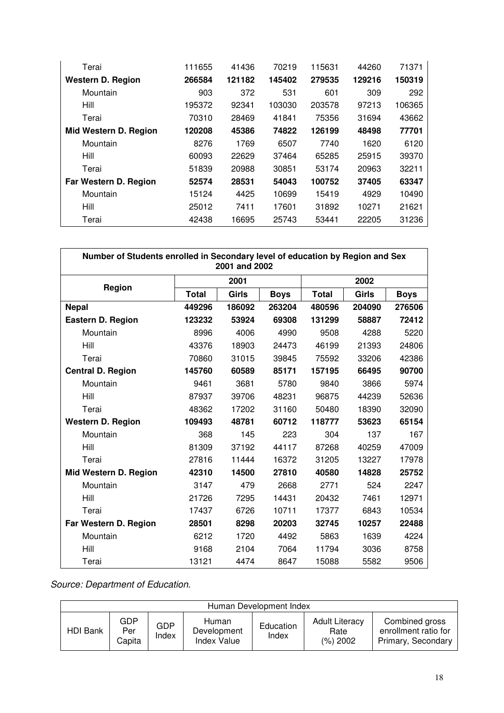| Terai                    | 111655 | 41436  | 70219  | 115631 | 44260  | 71371  |
|--------------------------|--------|--------|--------|--------|--------|--------|
| <b>Western D. Region</b> | 266584 | 121182 | 145402 | 279535 | 129216 | 150319 |
| Mountain                 | 903    | 372    | 531    | 601    | 309    | 292    |
| Hill                     | 195372 | 92341  | 103030 | 203578 | 97213  | 106365 |
| Terai                    | 70310  | 28469  | 41841  | 75356  | 31694  | 43662  |
| Mid Western D. Region    | 120208 | 45386  | 74822  | 126199 | 48498  | 77701  |
| Mountain                 | 8276   | 1769   | 6507   | 7740   | 1620   | 6120   |
| Hill                     | 60093  | 22629  | 37464  | 65285  | 25915  | 39370  |
| Terai                    | 51839  | 20988  | 30851  | 53174  | 20963  | 32211  |
| Far Western D. Region    | 52574  | 28531  | 54043  | 100752 | 37405  | 63347  |
| Mountain                 | 15124  | 4425   | 10699  | 15419  | 4929   | 10490  |
| Hill                     | 25012  | 7411   | 17601  | 31892  | 10271  | 21621  |
| Terai                    | 42438  | 16695  | 25743  | 53441  | 22205  | 31236  |

| Number of Students enrolled in Secondary level of education by Region and Sex<br>2001 and 2002 |              |        |             |              |        |             |  |  |
|------------------------------------------------------------------------------------------------|--------------|--------|-------------|--------------|--------|-------------|--|--|
|                                                                                                |              | 2001   |             |              | 2002   |             |  |  |
| Region                                                                                         | <b>Total</b> | Girls  | <b>Boys</b> | <b>Total</b> | Girls  | <b>Boys</b> |  |  |
| <b>Nepal</b>                                                                                   | 449296       | 186092 | 263204      | 480596       | 204090 | 276506      |  |  |
| <b>Eastern D. Region</b>                                                                       | 123232       | 53924  | 69308       | 131299       | 58887  | 72412       |  |  |
| Mountain                                                                                       | 8996         | 4006   | 4990        | 9508         | 4288   | 5220        |  |  |
| Hill                                                                                           | 43376        | 18903  | 24473       | 46199        | 21393  | 24806       |  |  |
| Terai                                                                                          | 70860        | 31015  | 39845       | 75592        | 33206  | 42386       |  |  |
| <b>Central D. Region</b>                                                                       | 145760       | 60589  | 85171       | 157195       | 66495  | 90700       |  |  |
| Mountain                                                                                       | 9461         | 3681   | 5780        | 9840         | 3866   | 5974        |  |  |
| Hill                                                                                           | 87937        | 39706  | 48231       | 96875        | 44239  | 52636       |  |  |
| Terai                                                                                          | 48362        | 17202  | 31160       | 50480        | 18390  | 32090       |  |  |
| <b>Western D. Region</b>                                                                       | 109493       | 48781  | 60712       | 118777       | 53623  | 65154       |  |  |
| Mountain                                                                                       | 368          | 145    | 223         | 304          | 137    | 167         |  |  |
| Hill                                                                                           | 81309        | 37192  | 44117       | 87268        | 40259  | 47009       |  |  |
| Terai                                                                                          | 27816        | 11444  | 16372       | 31205        | 13227  | 17978       |  |  |
| Mid Western D. Region                                                                          | 42310        | 14500  | 27810       | 40580        | 14828  | 25752       |  |  |
| Mountain                                                                                       | 3147         | 479    | 2668        | 2771         | 524    | 2247        |  |  |
| Hill                                                                                           | 21726        | 7295   | 14431       | 20432        | 7461   | 12971       |  |  |
| Terai                                                                                          | 17437        | 6726   | 10711       | 17377        | 6843   | 10534       |  |  |
| Far Western D. Region                                                                          | 28501        | 8298   | 20203       | 32745        | 10257  | 22488       |  |  |
| Mountain                                                                                       | 6212         | 1720   | 4492        | 5863         | 1639   | 4224        |  |  |
| Hill                                                                                           | 9168         | 2104   | 7064        | 11794        | 3036   | 8758        |  |  |
| Terai                                                                                          | 13121        | 4474   | 8647        | 15088        | 5582   | 9506        |  |  |

Source: Department of Education.

|          | Human Development Index |                     |                                     |                    |                                           |                                                              |  |
|----------|-------------------------|---------------------|-------------------------------------|--------------------|-------------------------------------------|--------------------------------------------------------------|--|
| HDI Bank | GDP<br>Per<br>Capita    | <b>GDP</b><br>Index | Human<br>Development<br>Index Value | Education<br>Index | <b>Adult Literacy</b><br>Rate<br>(%) 2002 | Combined gross<br>enrollment ratio for<br>Primary, Secondary |  |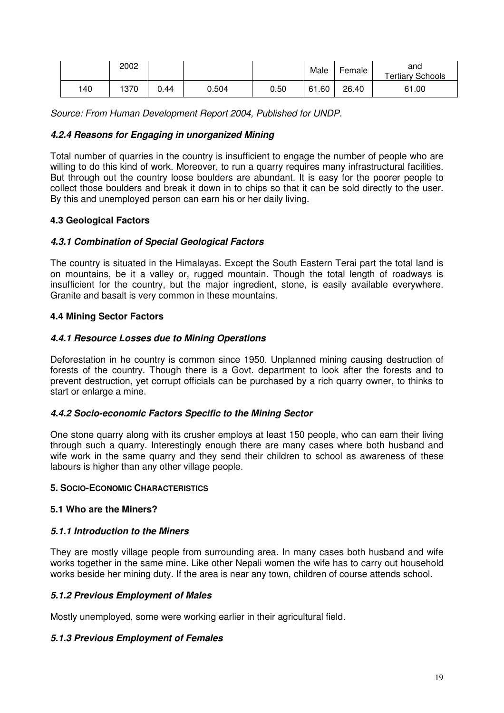|     | 2002 |      |       |      | Male  | Female | and<br><b>Tertiary Schools</b> |
|-----|------|------|-------|------|-------|--------|--------------------------------|
| 140 | 1370 | 0.44 | 0.504 | 0.50 | 61.60 | 26.40  | 61.00                          |

Source: From Human Development Report 2004, Published for UNDP.

#### **4.2.4 Reasons for Engaging in unorganized Mining**

Total number of quarries in the country is insufficient to engage the number of people who are willing to do this kind of work. Moreover, to run a quarry requires many infrastructural facilities. But through out the country loose boulders are abundant. It is easy for the poorer people to collect those boulders and break it down in to chips so that it can be sold directly to the user. By this and unemployed person can earn his or her daily living.

# **4.3 Geological Factors**

#### **4.3.1 Combination of Special Geological Factors**

The country is situated in the Himalayas. Except the South Eastern Terai part the total land is on mountains, be it a valley or, rugged mountain. Though the total length of roadways is insufficient for the country, but the major ingredient, stone, is easily available everywhere. Granite and basalt is very common in these mountains.

#### **4.4 Mining Sector Factors**

#### **4.4.1 Resource Losses due to Mining Operations**

Deforestation in he country is common since 1950. Unplanned mining causing destruction of forests of the country. Though there is a Govt. department to look after the forests and to prevent destruction, yet corrupt officials can be purchased by a rich quarry owner, to thinks to start or enlarge a mine.

#### **4.4.2 Socio-economic Factors Specific to the Mining Sector**

One stone quarry along with its crusher employs at least 150 people, who can earn their living through such a quarry. Interestingly enough there are many cases where both husband and wife work in the same quarry and they send their children to school as awareness of these labours is higher than any other village people.

#### **5. SOCIO-ECONOMIC CHARACTERISTICS**

#### **5.1 Who are the Miners?**

#### **5.1.1 Introduction to the Miners**

They are mostly village people from surrounding area. In many cases both husband and wife works together in the same mine. Like other Nepali women the wife has to carry out household works beside her mining duty. If the area is near any town, children of course attends school.

#### **5.1.2 Previous Employment of Males**

Mostly unemployed, some were working earlier in their agricultural field.

#### **5.1.3 Previous Employment of Females**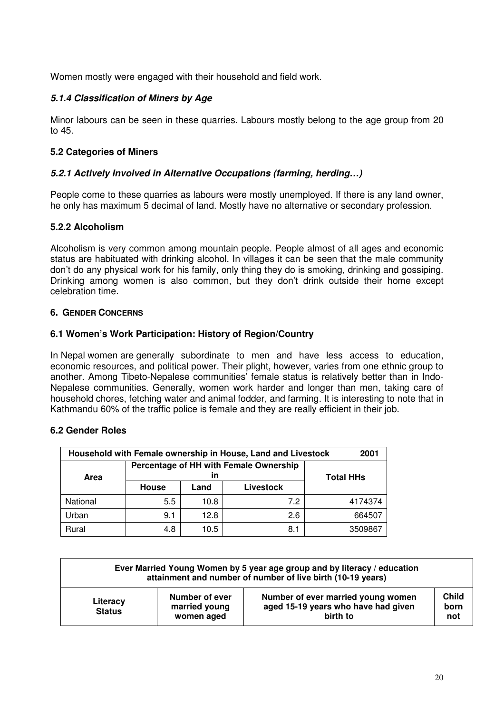Women mostly were engaged with their household and field work.

# **5.1.4 Classification of Miners by Age**

Minor labours can be seen in these quarries. Labours mostly belong to the age group from 20 to 45.

# **5.2 Categories of Miners**

# **5.2.1 Actively Involved in Alternative Occupations (farming, herding…)**

People come to these quarries as labours were mostly unemployed. If there is any land owner, he only has maximum 5 decimal of land. Mostly have no alternative or secondary profession.

#### **5.2.2 Alcoholism**

Alcoholism is very common among mountain people. People almost of all ages and economic status are habituated with drinking alcohol. In villages it can be seen that the male community don't do any physical work for his family, only thing they do is smoking, drinking and gossiping. Drinking among women is also common, but they don't drink outside their home except celebration time.

#### **6. GENDER CONCERNS**

#### **6.1 Women's Work Participation: History of Region/Country**

In Nepal women are generally subordinate to men and have less access to education, economic resources, and political power. Their plight, however, varies from one ethnic group to another. Among Tibeto-Nepalese communities' female status is relatively better than in Indo-Nepalese communities. Generally, women work harder and longer than men, taking care of household chores, fetching water and animal fodder, and farming. It is interesting to note that in Kathmandu 60% of the traffic police is female and they are really efficient in their job.

#### **6.2 Gender Roles**

| Household with Female ownership in House, Land and Livestock<br>2001 |                                        |                  |     |         |  |  |  |
|----------------------------------------------------------------------|----------------------------------------|------------------|-----|---------|--|--|--|
| Area                                                                 | Percentage of HH with Female Ownership | <b>Total HHs</b> |     |         |  |  |  |
|                                                                      | House                                  | Livestock        |     |         |  |  |  |
| National                                                             | 5.5                                    | 10.8             | 7.2 | 4174374 |  |  |  |
| Urban                                                                | 9.1                                    | 12.8             | 2.6 | 664507  |  |  |  |
| Rural                                                                | 4.8                                    | 10.5             | 8.1 | 3509867 |  |  |  |

|                           | Ever Married Young Women by 5 year age group and by literacy / education<br>attainment and number of number of live birth (10-19 years) |                                                                                       |                             |  |  |  |  |
|---------------------------|-----------------------------------------------------------------------------------------------------------------------------------------|---------------------------------------------------------------------------------------|-----------------------------|--|--|--|--|
| Literacy<br><b>Status</b> | Number of ever<br>married young<br>women aged                                                                                           | Number of ever married young women<br>aged 15-19 years who have had given<br>birth to | <b>Child</b><br>born<br>not |  |  |  |  |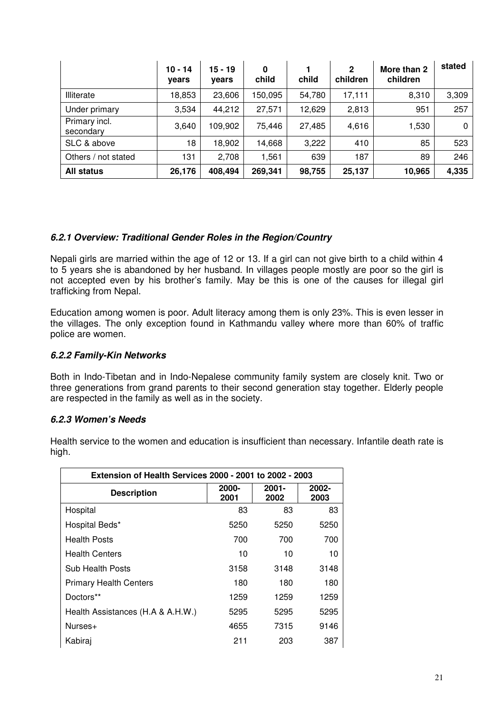|                            | $10 - 14$<br>vears | $15 - 19$<br>years | $\bf{0}$<br>child | child  | $\mathbf{2}$<br>children | More than 2<br>children | stated |
|----------------------------|--------------------|--------------------|-------------------|--------|--------------------------|-------------------------|--------|
| Illiterate                 | 18,853             | 23,606             | 150,095           | 54,780 | 17,111                   | 8,310                   | 3,309  |
| Under primary              | 3,534              | 44,212             | 27,571            | 12,629 | 2,813                    | 951                     | 257    |
| Primary incl.<br>secondary | 3,640              | 109,902            | 75.446            | 27,485 | 4,616                    | 1,530                   | 0      |
| SLC & above                | 18                 | 18,902             | 14,668            | 3,222  | 410                      | 85                      | 523    |
| Others / not stated        | 131                | 2,708              | 1,561             | 639    | 187                      | 89                      | 246    |
| All status                 | 26,176             | 408,494            | 269,341           | 98,755 | 25,137                   | 10,965                  | 4,335  |

#### **6.2.1 Overview: Traditional Gender Roles in the Region/Country**

Nepali girls are married within the age of 12 or 13. If a girl can not give birth to a child within 4 to 5 years she is abandoned by her husband. In villages people mostly are poor so the girl is not accepted even by his brother's family. May be this is one of the causes for illegal girl trafficking from Nepal.

Education among women is poor. Adult literacy among them is only 23%. This is even lesser in the villages. The only exception found in Kathmandu valley where more than 60% of traffic police are women.

#### **6.2.2 Family-Kin Networks**

Both in Indo-Tibetan and in Indo-Nepalese community family system are closely knit. Two or three generations from grand parents to their second generation stay together. Elderly people are respected in the family as well as in the society.

#### **6.2.3 Women's Needs**

Health service to the women and education is insufficient than necessary. Infantile death rate is high.

| <b>Extension of Health Services 2000 - 2001 to 2002 - 2003</b> |               |                  |               |  |  |  |  |  |
|----------------------------------------------------------------|---------------|------------------|---------------|--|--|--|--|--|
| <b>Description</b>                                             | 2000-<br>2001 | $2001 -$<br>2002 | 2002-<br>2003 |  |  |  |  |  |
| Hospital                                                       | 83            | 83               | 83            |  |  |  |  |  |
| Hospital Beds*                                                 | 5250          | 5250             | 5250          |  |  |  |  |  |
| <b>Health Posts</b>                                            | 700           | 700              | 700           |  |  |  |  |  |
| <b>Health Centers</b>                                          | 10            | 10               | 10            |  |  |  |  |  |
| Sub Health Posts                                               | 3158          | 3148             | 3148          |  |  |  |  |  |
| <b>Primary Health Centers</b>                                  | 180           | 180              | 180           |  |  |  |  |  |
| Doctors**                                                      | 1259          | 1259             | 1259          |  |  |  |  |  |
| Health Assistances (H.A & A.H.W.)                              | 5295          | 5295             | 5295          |  |  |  |  |  |
| Nurses+                                                        | 4655          | 7315             | 9146          |  |  |  |  |  |
| Kabiraj                                                        | 211           | 203              | 387           |  |  |  |  |  |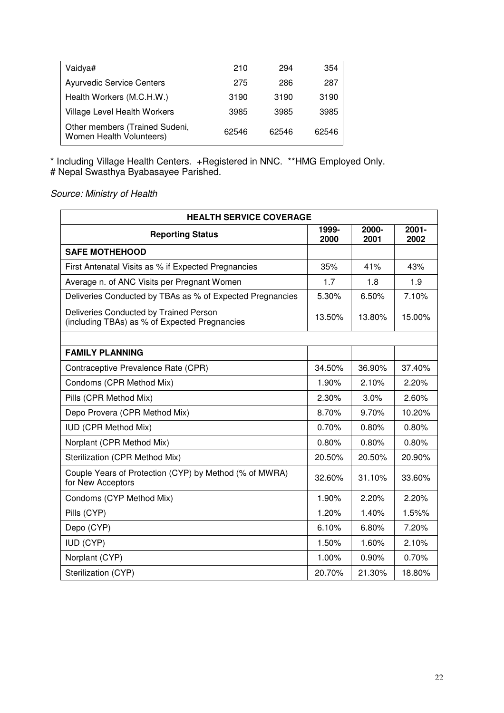| Vaidya#                                                    | 210   | 294   | 354   |
|------------------------------------------------------------|-------|-------|-------|
| <b>Ayurvedic Service Centers</b>                           | 275   | 286   | 287   |
| Health Workers (M.C.H.W.)                                  | 3190  | 3190  | 3190  |
| <b>Village Level Health Workers</b>                        | 3985  | 3985  | 3985  |
| Other members (Trained Sudeni,<br>Women Health Volunteers) | 62546 | 62546 | 62546 |

\* Including Village Health Centers. +Registered in NNC. \*\*HMG Employed Only. # Nepal Swasthya Byabasayee Parished.

Source: Ministry of Health

| <b>HEALTH SERVICE COVERAGE</b>                                                          |               |               |                  |  |  |  |  |  |
|-----------------------------------------------------------------------------------------|---------------|---------------|------------------|--|--|--|--|--|
| <b>Reporting Status</b>                                                                 | 1999-<br>2000 | 2000-<br>2001 | $2001 -$<br>2002 |  |  |  |  |  |
| <b>SAFE MOTHEHOOD</b>                                                                   |               |               |                  |  |  |  |  |  |
| First Antenatal Visits as % if Expected Pregnancies                                     | 35%           | 41%           | 43%              |  |  |  |  |  |
| Average n. of ANC Visits per Pregnant Women                                             | 1.7           | 1.8           | 1.9              |  |  |  |  |  |
| Deliveries Conducted by TBAs as % of Expected Pregnancies                               | 5.30%         | 6.50%         | 7.10%            |  |  |  |  |  |
| Deliveries Conducted by Trained Person<br>(including TBAs) as % of Expected Pregnancies | 13.50%        | 13.80%        | 15.00%           |  |  |  |  |  |
|                                                                                         |               |               |                  |  |  |  |  |  |
| <b>FAMILY PLANNING</b>                                                                  |               |               |                  |  |  |  |  |  |
| Contraceptive Prevalence Rate (CPR)                                                     | 34.50%        | 36.90%        | 37.40%           |  |  |  |  |  |
| Condoms (CPR Method Mix)                                                                | 1.90%         | 2.10%         | 2.20%            |  |  |  |  |  |
| Pills (CPR Method Mix)                                                                  | 2.30%         | 3.0%          | 2.60%            |  |  |  |  |  |
| Depo Provera (CPR Method Mix)                                                           | 8.70%         | 9.70%         | 10.20%           |  |  |  |  |  |
| <b>IUD (CPR Method Mix)</b>                                                             | 0.70%         | 0.80%         | 0.80%            |  |  |  |  |  |
| Norplant (CPR Method Mix)                                                               | 0.80%         | 0.80%         | 0.80%            |  |  |  |  |  |
| Sterilization (CPR Method Mix)                                                          | 20.50%        | 20.50%        | 20.90%           |  |  |  |  |  |
| Couple Years of Protection (CYP) by Method (% of MWRA)<br>for New Acceptors             | 32.60%        | 31.10%        | 33.60%           |  |  |  |  |  |
| Condoms (CYP Method Mix)                                                                | 1.90%         | 2.20%         | 2.20%            |  |  |  |  |  |
| Pills (CYP)                                                                             | 1.20%         | 1.40%         | 1.5%%            |  |  |  |  |  |
| Depo (CYP)                                                                              | 6.10%         | 6.80%         | 7.20%            |  |  |  |  |  |
| <b>IUD (CYP)</b>                                                                        | 1.50%         | 1.60%         | 2.10%            |  |  |  |  |  |
| Norplant (CYP)                                                                          | 1.00%         | 0.90%         | 0.70%            |  |  |  |  |  |
| Sterilization (CYP)                                                                     | 20.70%        | 21.30%        | 18.80%           |  |  |  |  |  |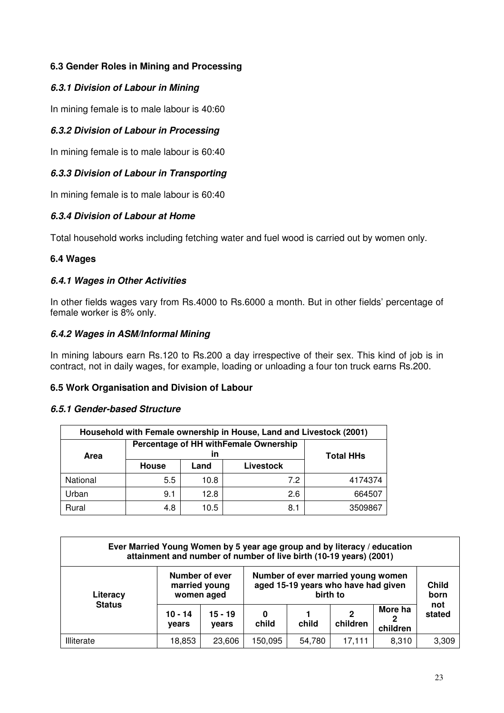# **6.3 Gender Roles in Mining and Processing**

# **6.3.1 Division of Labour in Mining**

In mining female is to male labour is 40:60

# **6.3.2 Division of Labour in Processing**

In mining female is to male labour is 60:40

# **6.3.3 Division of Labour in Transporting**

In mining female is to male labour is 60:40

# **6.3.4 Division of Labour at Home**

Total household works including fetching water and fuel wood is carried out by women only.

# **6.4 Wages**

# **6.4.1 Wages in Other Activities**

In other fields wages vary from Rs.4000 to Rs.6000 a month. But in other fields' percentage of female worker is 8% only.

# **6.4.2 Wages in ASM/Informal Mining**

In mining labours earn Rs.120 to Rs.200 a day irrespective of their sex. This kind of job is in contract, not in daily wages, for example, loading or unloading a four ton truck earns Rs.200.

#### **6.5 Work Organisation and Division of Labour**

# **6.5.1 Gender-based Structure**

| Household with Female ownership in House, Land and Livestock (2001) |                                       |                  |           |         |  |  |  |
|---------------------------------------------------------------------|---------------------------------------|------------------|-----------|---------|--|--|--|
| Area                                                                | Percentage of HH withFemale Ownership | <b>Total HHs</b> |           |         |  |  |  |
|                                                                     | House                                 | Land             | Livestock |         |  |  |  |
| National                                                            | 5.5                                   | 10.8             | 7.2       | 4174374 |  |  |  |
| Urban                                                               | 9.1                                   | 12.8             | 2.6       | 664507  |  |  |  |
| Rural                                                               | 4.8                                   | 10.5             | 8.1       | 3509867 |  |  |  |

| Ever Married Young Women by 5 year age group and by literacy / education<br>attainment and number of number of live birth (10-19 years) (2001) |                                               |                    |                                                                                       |        |               |                          |                      |
|------------------------------------------------------------------------------------------------------------------------------------------------|-----------------------------------------------|--------------------|---------------------------------------------------------------------------------------|--------|---------------|--------------------------|----------------------|
| Literacy                                                                                                                                       | Number of ever<br>married young<br>women aged |                    | Number of ever married young women<br>aged 15-19 years who have had given<br>birth to |        |               |                          | <b>Child</b><br>born |
| <b>Status</b>                                                                                                                                  | $10 - 14$<br>vears                            | $15 - 19$<br>vears | 0<br>child                                                                            | child  | 2<br>children | More ha<br>2<br>children | not<br>stated        |
| Illiterate                                                                                                                                     | 18,853                                        | 23,606             | 150,095                                                                               | 54,780 | 17,111        | 8,310                    | 3,309                |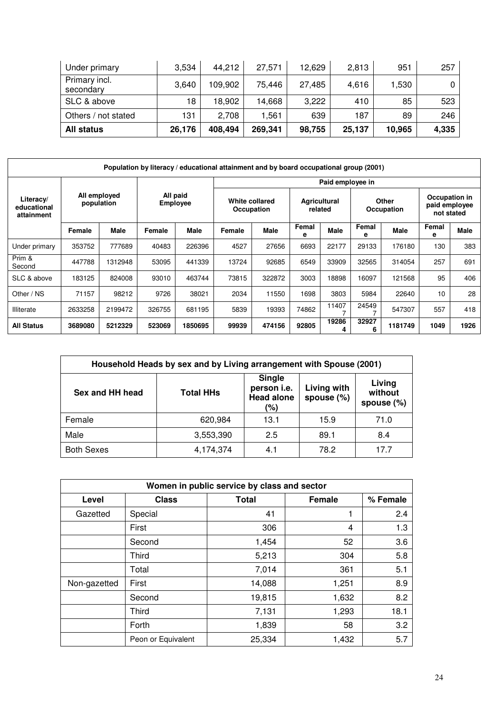| Under primary              | 3,534  | 44,212  | 27,571  | 12,629 | 2,813  | 951    | 257   |
|----------------------------|--------|---------|---------|--------|--------|--------|-------|
| Primary incl.<br>secondary | 3,640  | 109.902 | 75,446  | 27,485 | 4,616  | 1,530  |       |
| SLC & above                | 18     | 18,902  | 14,668  | 3,222  | 410    | 85     | 523   |
| Others / not stated        | 131    | 2,708   | 1.561   | 639    | 187    | 89     | 246   |
| All status                 | 26,176 | 408,494 | 269,341 | 98,755 | 25,137 | 10,965 | 4,335 |

| Population by literacy / educational attainment and by board occupational group (2001) |                             |         |                              |         |                                |        |                     |             |                                              |             |            |      |  |  |
|----------------------------------------------------------------------------------------|-----------------------------|---------|------------------------------|---------|--------------------------------|--------|---------------------|-------------|----------------------------------------------|-------------|------------|------|--|--|
|                                                                                        |                             |         |                              |         | Paid employee in               |        |                     |             |                                              |             |            |      |  |  |
| All employed<br>Literacy/<br>population<br>educational<br>attainment                   | All paid<br><b>Employee</b> |         | White collared<br>Occupation |         | <b>Agricultural</b><br>related |        | Other<br>Occupation |             | Occupation in<br>paid employee<br>not stated |             |            |      |  |  |
|                                                                                        | Female                      | Male    | Female                       | Male    | Female                         | Male   | Femal<br>е          | <b>Male</b> | Femal<br>е                                   | <b>Male</b> | Femal<br>е | Male |  |  |
| Under primary                                                                          | 353752                      | 777689  | 40483                        | 226396  | 4527                           | 27656  | 6693                | 22177       | 29133                                        | 176180      | 130        | 383  |  |  |
| Prim &<br>Second                                                                       | 447788                      | 1312948 | 53095                        | 441339  | 13724                          | 92685  | 6549                | 33909       | 32565                                        | 314054      | 257        | 691  |  |  |
| SLC & above                                                                            | 183125                      | 824008  | 93010                        | 463744  | 73815                          | 322872 | 3003                | 18898       | 16097                                        | 121568      | 95         | 406  |  |  |
| Other / NS                                                                             | 71157                       | 98212   | 9726                         | 38021   | 2034                           | 11550  | 1698                | 3803        | 5984                                         | 22640       | 10         | 28   |  |  |
| Illiterate                                                                             | 2633258                     | 2199472 | 326755                       | 681195  | 5839                           | 19393  | 74862               | 11407       | 24549                                        | 547307      | 557        | 418  |  |  |
| <b>All Status</b>                                                                      | 3689080                     | 5212329 | 523069                       | 1850695 | 99939                          | 474156 | 92805               | 19286<br>4  | 32927<br>6                                   | 1181749     | 1049       | 1926 |  |  |

| Household Heads by sex and by Living arrangement with Spouse (2001) |                  |                                                          |                              |                                 |  |  |  |  |  |
|---------------------------------------------------------------------|------------------|----------------------------------------------------------|------------------------------|---------------------------------|--|--|--|--|--|
| Sex and HH head                                                     | <b>Total HHs</b> | <b>Single</b><br>person i.e.<br><b>Head alone</b><br>(%) | Living with<br>spouse $(\%)$ | Living<br>without<br>spouse (%) |  |  |  |  |  |
| Female                                                              | 620,984          | 13.1                                                     | 15.9                         | 71.0                            |  |  |  |  |  |
| Male                                                                | 3,553,390        | 2.5                                                      | 89.1                         | 8.4                             |  |  |  |  |  |
| <b>Both Sexes</b>                                                   | 4,174,374        | 4.1                                                      | 78.2                         | 177                             |  |  |  |  |  |

| Women in public service by class and sector |                    |        |               |          |  |  |  |  |  |
|---------------------------------------------|--------------------|--------|---------------|----------|--|--|--|--|--|
| Level                                       | <b>Class</b>       | Total  | <b>Female</b> | % Female |  |  |  |  |  |
| Gazetted                                    | Special            | 41     | 1             | 2.4      |  |  |  |  |  |
|                                             | First              | 306    | 4             | 1.3      |  |  |  |  |  |
|                                             | Second             | 1,454  | 52            | 3.6      |  |  |  |  |  |
|                                             | Third              | 5,213  | 304           | 5.8      |  |  |  |  |  |
|                                             | Total              | 7,014  | 361           | 5.1      |  |  |  |  |  |
| Non-gazetted                                | First              | 14,088 | 1,251         | 8.9      |  |  |  |  |  |
|                                             | Second             | 19,815 | 1,632         | 8.2      |  |  |  |  |  |
|                                             | <b>Third</b>       | 7,131  | 1,293         | 18.1     |  |  |  |  |  |
|                                             | Forth              | 1,839  | 58            | 3.2      |  |  |  |  |  |
|                                             | Peon or Equivalent | 25,334 | 1,432         | 5.7      |  |  |  |  |  |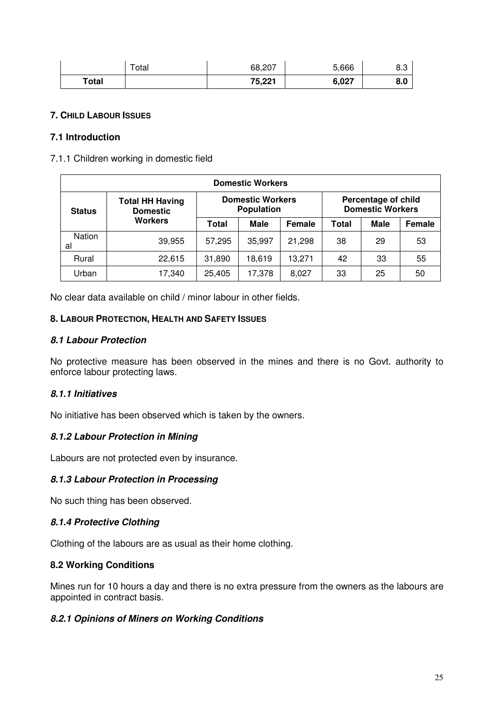|       | $\tau$ otal | 68,207 | 5,666 | ০.ა |
|-------|-------------|--------|-------|-----|
| Total |             | 75,221 | 6,027 | 8.0 |

#### **7. CHILD LABOUR ISSUES**

#### **7.1 Introduction**

7.1.1 Children working in domestic field

| <b>Domestic Workers</b> |                                           |              |                                              |        |                                                |             |               |  |  |
|-------------------------|-------------------------------------------|--------------|----------------------------------------------|--------|------------------------------------------------|-------------|---------------|--|--|
| <b>Status</b>           | <b>Total HH Having</b><br><b>Domestic</b> |              | <b>Domestic Workers</b><br><b>Population</b> |        | Percentage of child<br><b>Domestic Workers</b> |             |               |  |  |
|                         | <b>Workers</b>                            | <b>Total</b> | <b>Male</b>                                  | Female | Total                                          | <b>Male</b> | <b>Female</b> |  |  |
| <b>Nation</b><br>al     | 39,955                                    | 57,295       | 35,997                                       | 21,298 | 38                                             | 29          | 53            |  |  |
| Rural                   | 22,615                                    | 31,890       | 18,619                                       | 13,271 | 42                                             | 33          | 55            |  |  |
| Urban                   | 17,340                                    | 25,405       | 17,378                                       | 8,027  | 33                                             | 25          | 50            |  |  |

No clear data available on child / minor labour in other fields.

#### **8. LABOUR PROTECTION, HEALTH AND SAFETY ISSUES**

#### **8.1 Labour Protection**

No protective measure has been observed in the mines and there is no Govt. authority to enforce labour protecting laws.

#### **8.1.1 Initiatives**

No initiative has been observed which is taken by the owners.

#### **8.1.2 Labour Protection in Mining**

Labours are not protected even by insurance.

#### **8.1.3 Labour Protection in Processing**

No such thing has been observed.

#### **8.1.4 Protective Clothing**

Clothing of the labours are as usual as their home clothing.

#### **8.2 Working Conditions**

Mines run for 10 hours a day and there is no extra pressure from the owners as the labours are appointed in contract basis.

#### **8.2.1 Opinions of Miners on Working Conditions**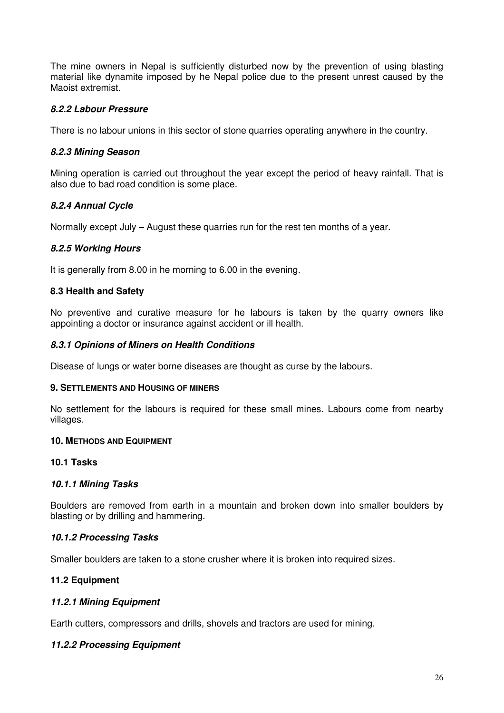The mine owners in Nepal is sufficiently disturbed now by the prevention of using blasting material like dynamite imposed by he Nepal police due to the present unrest caused by the Maoist extremist.

# **8.2.2 Labour Pressure**

There is no labour unions in this sector of stone quarries operating anywhere in the country.

# **8.2.3 Mining Season**

Mining operation is carried out throughout the year except the period of heavy rainfall. That is also due to bad road condition is some place.

# **8.2.4 Annual Cycle**

Normally except July – August these quarries run for the rest ten months of a year.

# **8.2.5 Working Hours**

It is generally from 8.00 in he morning to 6.00 in the evening.

# **8.3 Health and Safety**

No preventive and curative measure for he labours is taken by the quarry owners like appointing a doctor or insurance against accident or ill health.

# **8.3.1 Opinions of Miners on Health Conditions**

Disease of lungs or water borne diseases are thought as curse by the labours.

#### **9. SETTLEMENTS AND HOUSING OF MINERS**

No settlement for the labours is required for these small mines. Labours come from nearby villages.

# **10. METHODS AND EQUIPMENT**

# **10.1 Tasks**

# **10.1.1 Mining Tasks**

Boulders are removed from earth in a mountain and broken down into smaller boulders by blasting or by drilling and hammering.

# **10.1.2 Processing Tasks**

Smaller boulders are taken to a stone crusher where it is broken into required sizes.

# **11.2 Equipment**

# **11.2.1 Mining Equipment**

Earth cutters, compressors and drills, shovels and tractors are used for mining.

# **11.2.2 Processing Equipment**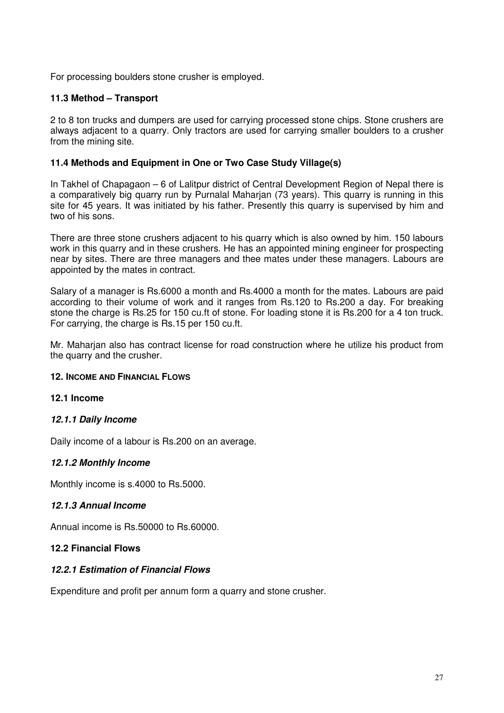For processing boulders stone crusher is employed.

#### **11.3 Method – Transport**

2 to 8 ton trucks and dumpers are used for carrying processed stone chips. Stone crushers are always adjacent to a quarry. Only tractors are used for carrying smaller boulders to a crusher from the mining site.

#### **11.4 Methods and Equipment in One or Two Case Study Village(s)**

In Takhel of Chapagaon – 6 of Lalitpur district of Central Development Region of Nepal there is a comparatively big quarry run by Purnalal Maharjan (73 years). This quarry is running in this site for 45 years. It was initiated by his father. Presently this quarry is supervised by him and two of his sons.

There are three stone crushers adjacent to his quarry which is also owned by him. 150 labours work in this quarry and in these crushers. He has an appointed mining engineer for prospecting near by sites. There are three managers and thee mates under these managers. Labours are appointed by the mates in contract.

Salary of a manager is Rs.6000 a month and Rs.4000 a month for the mates. Labours are paid according to their volume of work and it ranges from Rs.120 to Rs.200 a day. For breaking stone the charge is Rs.25 for 150 cu.ft of stone. For loading stone it is Rs.200 for a 4 ton truck. For carrying, the charge is Rs.15 per 150 cu.ft.

Mr. Maharjan also has contract license for road construction where he utilize his product from the quarry and the crusher.

#### **12. INCOME AND FINANCIAL FLOWS**

#### **12.1 Income**

# **12.1.1 Daily Income**

Daily income of a labour is Rs.200 on an average.

#### **12.1.2 Monthly Income**

Monthly income is s.4000 to Rs.5000.

#### **12.1.3 Annual Income**

Annual income is Rs.50000 to Rs.60000.

#### **12.2 Financial Flows**

#### **12.2.1 Estimation of Financial Flows**

Expenditure and profit per annum form a quarry and stone crusher.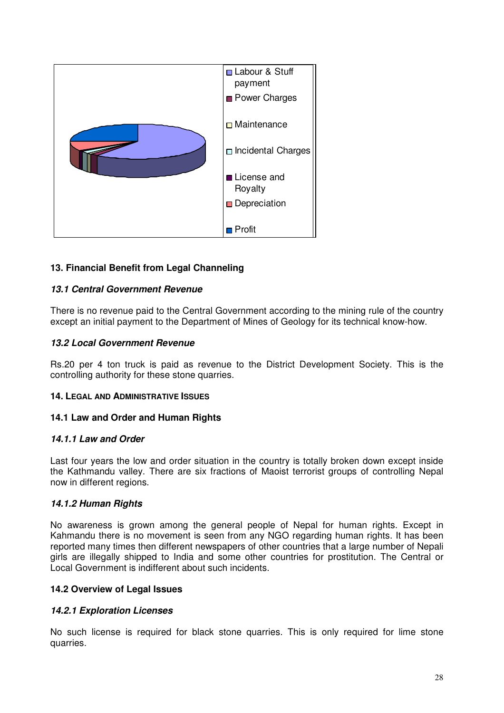

# **13. Financial Benefit from Legal Channeling**

#### **13.1 Central Government Revenue**

There is no revenue paid to the Central Government according to the mining rule of the country except an initial payment to the Department of Mines of Geology for its technical know-how.

#### **13.2 Local Government Revenue**

Rs.20 per 4 ton truck is paid as revenue to the District Development Society. This is the controlling authority for these stone quarries.

#### **14. LEGAL AND ADMINISTRATIVE ISSUES**

#### **14.1 Law and Order and Human Rights**

#### **14.1.1 Law and Order**

Last four years the low and order situation in the country is totally broken down except inside the Kathmandu valley. There are six fractions of Maoist terrorist groups of controlling Nepal now in different regions.

#### **14.1.2 Human Rights**

No awareness is grown among the general people of Nepal for human rights. Except in Kahmandu there is no movement is seen from any NGO regarding human rights. It has been reported many times then different newspapers of other countries that a large number of Nepali girls are illegally shipped to India and some other countries for prostitution. The Central or Local Government is indifferent about such incidents.

#### **14.2 Overview of Legal Issues**

#### **14.2.1 Exploration Licenses**

No such license is required for black stone quarries. This is only required for lime stone quarries.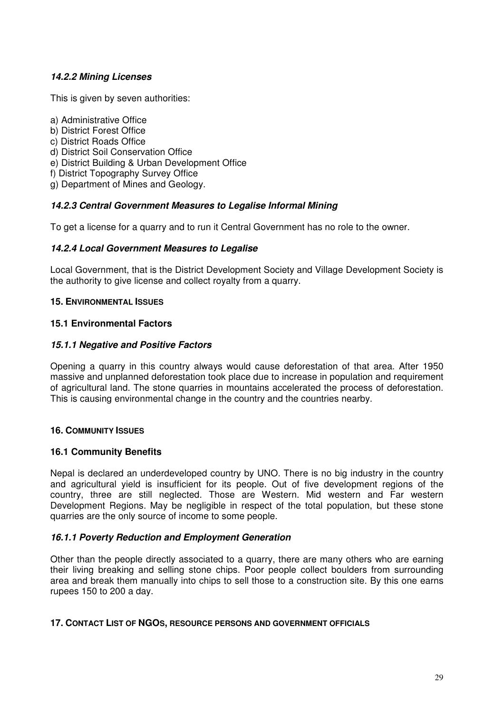# **14.2.2 Mining Licenses**

This is given by seven authorities:

- a) Administrative Office
- b) District Forest Office
- c) District Roads Office
- d) District Soil Conservation Office
- e) District Building & Urban Development Office
- f) District Topography Survey Office
- g) Department of Mines and Geology.

# **14.2.3 Central Government Measures to Legalise Informal Mining**

To get a license for a quarry and to run it Central Government has no role to the owner.

# **14.2.4 Local Government Measures to Legalise**

Local Government, that is the District Development Society and Village Development Society is the authority to give license and collect royalty from a quarry.

#### **15. ENVIRONMENTAL ISSUES**

#### **15.1 Environmental Factors**

# **15.1.1 Negative and Positive Factors**

Opening a quarry in this country always would cause deforestation of that area. After 1950 massive and unplanned deforestation took place due to increase in population and requirement of agricultural land. The stone quarries in mountains accelerated the process of deforestation. This is causing environmental change in the country and the countries nearby.

# **16. COMMUNITY ISSUES**

# **16.1 Community Benefits**

Nepal is declared an underdeveloped country by UNO. There is no big industry in the country and agricultural yield is insufficient for its people. Out of five development regions of the country, three are still neglected. Those are Western. Mid western and Far western Development Regions. May be negligible in respect of the total population, but these stone quarries are the only source of income to some people.

# **16.1.1 Poverty Reduction and Employment Generation**

Other than the people directly associated to a quarry, there are many others who are earning their living breaking and selling stone chips. Poor people collect boulders from surrounding area and break them manually into chips to sell those to a construction site. By this one earns rupees 150 to 200 a day.

#### **17. CONTACT LIST OF NGOS, RESOURCE PERSONS AND GOVERNMENT OFFICIALS**